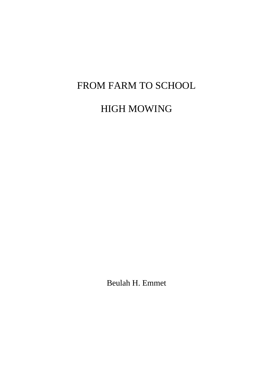# FROM FARM TO SCHOOL

# HIGH MOWING

Beulah H. Emmet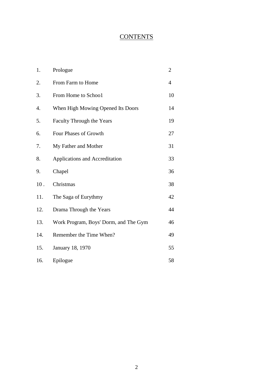# **CONTENTS**

| 1.               | Prologue                              | $\overline{2}$ |
|------------------|---------------------------------------|----------------|
| 2.               | From Farm to Home                     | $\overline{4}$ |
| 3.               | From Home to School                   | 10             |
| $\overline{4}$ . | When High Mowing Opened Its Doors     | 14             |
| 5.               | <b>Faculty Through the Years</b>      | 19             |
| 6.               | Four Phases of Growth                 | 27             |
| 7.               | My Father and Mother                  | 31             |
| 8.               | Applications and Accreditation        | 33             |
| 9.               | Chapel                                | 36             |
| 10.              | Christmas                             | 38             |
| 11.              | The Saga of Eurythmy                  | 42             |
| 12.              | Drama Through the Years               | 44             |
| 13.              | Work Program, Boys' Dorm, and The Gym | 46             |
| 14.              | Remember the Time When?               | 49             |
| 15.              | January 18, 1970                      | 55             |
| 16.              | Epilogue                              | 58             |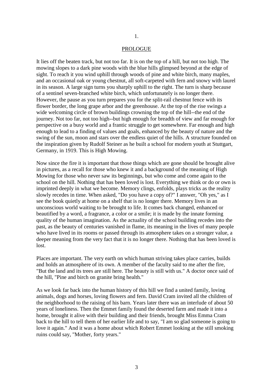#### PROLOGUE

It lies off the beaten track, but not too far. It is on the top of a hill, but not too high. The mowing slopes to a dark pine woods with the blue hills glimpsed beyond at the edge of sight. To reach it you wind uphill through woods of pine and white birch, many maples, and an occasional oak or young chestnut, all soft-carpeted with fern and snowy with laurel in its season. A large sign turns you sharply uphill to the right. The turn is sharp because of a sentinel seven-branched white birch, which unfortunately is no longer there. However, the pause as you turn prepares you for the split-rail chestnut fence with its flower border, the long grape arbor and the greenhouse. At the top of the rise swings a wide welcoming circle of brown buildings crowning the top of the hill--the end of the journey. Not too far, not too high--but high enough for breadth of view and far enough for perspective on a busy world and a frantic struggle to get somewhere. Far enough and high enough to lead to a finding of values and goals, enhanced by the beauty of nature and the swing of the sun, moon and stars over the endless quiet of the hills. A structure founded on the inspiration given by Rudolf Steiner as he built a school for modern youth at Stuttgart, Germany, in 1919. This is High Mowing.

Now since the fire it is important that those things which are gone should be brought alive in pictures, as a recall for those who knew it and a background of the meaning of High Mowing for those who never saw its beginnings, but who come and come again to the school on the hill. Nothing that has been loved is lost. Everything we think or do or own is imprinted deeply in what we become. Memory clings, enfolds, plays tricks as the reality slowly recedes in time. When asked, "Do you have a copy of?" I answer, "Oh yes," as I see the book quietly at home on a shelf that is no longer there. Memory lives in an unconscious world waiting to be brought to life. It comes back changed, enhanced or beautified by a word, a fragrance, a color or a smile; it is made by the innate forming quality of the human imagination. As the actuality of the school building recedes into the past, as the beauty of centuries vanished in flame, its meaning in the lives of many people who have lived in its rooms or passed through its atmosphere takes on a stronger value, a deeper meaning from the very fact that it is no longer there. Nothing that has been loved is lost.

Places are important. The very earth on which human striving takes place carries, builds and holds an atmosphere of its own. A member of the faculty said to me after the fire, "But the land and its trees are still here. The beauty is still with us." A doctor once said of the hill, "Pine and birch on granite bring health."

As we look far back into the human history of this hill we find a united family, loving animals, dogs and horses, loving flowers and fern. David Cram invited all the children of the neighborhood to the raising of his barn. Years later there was an interlude of about 50 years of loneliness. Then the Emmet family found the deserted farm and made it into a home, brought it alive with their building and their friends, brought Miss Emma Cram back to the hill to tell them of her earlier life and to say, "I am so glad someone is going to love it again." And it was a home about which Robert Emmet looking at the still smoking ruins could say, "Mother, forty years."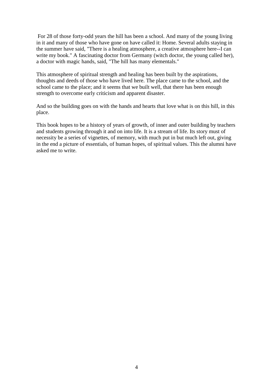For 28 of those forty-odd years the hill has been a school. And many of the young living in it and many of those who have gone on have called it: Home. Several adults staying in the summer have said, "There is a healing atmosphere, a creative atmosphere here--I can write my book." A fascinating doctor from Germany (witch doctor, the young called her), a doctor with magic hands, said, "The hill has many elementals."

This atmosphere of spiritual strength and healing has been built by the aspirations, thoughts and deeds of those who have lived here. The place came to the school, and the school came to the place; and it seems that we built well, that there has been enough strength to overcome early criticism and apparent disaster.

And so the building goes on with the hands and hearts that love what is on this hill, in this place.

This book hopes to be a history of years of growth, of inner and outer building by teachers and students growing through it and on into life. It is a stream of life. Its story must of necessity be a series of vignettes, of memory, with much put in but much left out, giving in the end a picture of essentials, of human hopes, of spiritual values. This the alumni have asked me to write.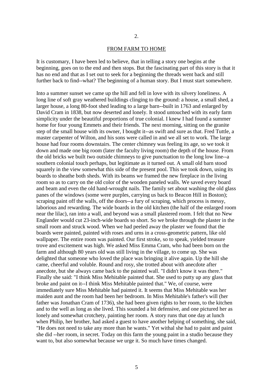#### FROM FARM TO HOME

It is customary, I have been led to believe, that in telling a story one begins at the beginning, goes on to the end and then stops. But the fascinating part of this story is that it has no end and that as I set out to seek for a beginning the threads went back and still further back to find--what? The beginning of a human story. But I must start somewhere.

Into a summer sunset we came up the hill and fell in love with its silvery loneliness. A long line of soft gray weathered buildings clinging to the ground: a house, a small shed, a larger house, a long 80-foot shed leading to a large barn--built in 1763 and enlarged by David Cram in 1838, but now deserted and lonely. It stood untouched with its early farm simplicity under the beautiful proportions of true colonial. I knew I had found a summer home for four young Emmets and their friends. The next morning, sitting on the granite step of the small house with its owner, I bought it--as swift and sure as that. Fred Tuttle, a master carpenter of Wilton, and his sons were called in and we all set to work. The large house had four rooms downstairs. The center chimney was feeling its age, so we took it down and made one big room (later the faculty living room) the depth of the house. From the old bricks we built two outside chimneys to give punctuation to the long low line--a southern colonial touch perhaps, but legitimate as it turned out. A small old barn stood squarely in the view somewhat this side of the present pool. This we took down, using its boards to sheathe both sheds. With its beams we framed the new fireplace in the living room so as to carry on the old color of the wooden paneled walls. We saved every board and beam and even the old hand-wrought nails. The family set about washing the old glass panes of the windows (some were purples, carrying us back to Beacon Hill in Boston); scraping paint off the walls, off the doors--a fury of scraping, which process is messy, laborious and rewarding. The wide boards in the old kitchen (the half of the enlarged room near the lilac), ran into a wall, and beyond was a small plastered room. I felt that no New Englander would cut 23-inch-wide boards so short. So we broke through the plaster in the small room and struck wood. When we had peeled away the plaster we found that the boards were painted, painted with roses and urns in a cross-geometric pattern, like old wallpaper. The entire room was painted. Our first stroke, so to speak, yielded treasure trove and excitement was high. We asked Miss Emma Cram, who had been born on the farm and although 80 years old was still living in the village, to come up. She was delighted that someone who loved the place was bringing it alive again. Up the hill she came, cheerful and voluble. Round and rosy, she trotted about with anecdote after anecdote, but she always came back to the painted wall. "I didn't know it was there." Finally she said: "I think Miss Mehitable painted that. She used to putty up any glass that broke and paint on it--I think Miss Mehitable painted that." We, of course, were immediately sure Miss Mehitable had painted it. It seems that Miss Mehitable was her maiden aunt and the room had been her bedroom. In Miss Mehitable's father's will (her father was Jonathan Cram of 1736), she had been given rights to her room, to the kitchen and to the well as long as she lived. This sounded a bit defensive, and one pictured her as lonely and somewhat crotchety, painting her room. A story runs that one day at lunch when Philip, her brother, had asked a guest to have another helping of something, she said, "He does not need to take any more than he wants." Yet withal she had to paint and paint she did --her room, in secret. Today on this farm the young paint in a studio because they want to, but also somewhat because we urge it. So much have times changed.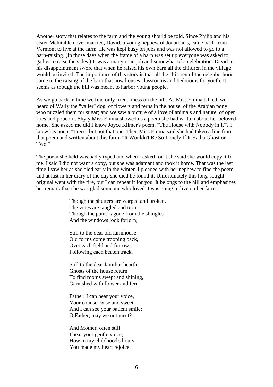Another story that relates to the farm and the young should be told. Since Philip and his sister Mehitable never married, David, a young nephew of Jonathan's, came back from Vermont to live at the farm. He was kept busy on jobs and was not allowed to go to a barn-raising. (In those days when the frame of a barn was set up everyone was asked to gather to raise the sides.) It was a many-man job and somewhat of a celebration. David in his disappointment swore that when he raised his own barn all the children in the village would be invited. The importance of this story is that all the children of the neighborhood came to the raising of the barn that now houses classrooms and bedrooms for youth. It seems as though the hill was meant to harbor young people.

As we go back in time we find only friendliness on the hill. As Miss Emma talked, we heard of Wally the "yaller" dog, of flowers and ferns in the house, of the Arabian pony who nuzzled them for sugar; and we saw a picture of a love of animals and nature, of open fires and popcorn. Shyly Miss Emma showed us a poem she had written about her beloved home. She asked me did I know Joyce Kilmer's poem, "The House with Nobody in It"? I knew his poem "Trees" but not that one. Then Miss Emma said she had taken a line from that poem and written about this farm: "It Wouldn't Be So Lonely If It Had a Ghost or Two."

The poem she held was badly typed and when I asked for it she said she would copy it for me. I said I did not want a copy, but she was adamant and took it home. That was the last time I saw her as she died early in the winter. I pleaded with her nephew to find the poem and at last in her diary of the day she died he found it. Unfortunately this long-sought original went with the fire, but I can repeat it for you. It belongs to the hill and emphasizes her remark that she was glad someone who loved it was going to live on her farm.

> Though the shutters are warped and broken, The vines are tangled and torn, Though the paint is gone from the shingles And the windows look forlorn;

Still to the dear old farmhouse Old forms come trooping back, Over each field and furrow, Following each beaten track.

Still to the dear familiar hearth Ghosts of the house return To find rooms swept and shining, Garnished with flower and fern.

Father, I can hear your voice, Your counsel wise and sweet. And I can see your patient smile; O Father, may we not meet?

And Mother, often still I hear your gentle voice; How in my childhood's hours You made my heart rejoice.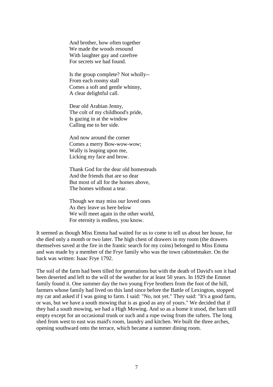And brother, how often together We made the woods resound With laughter gay and carefree For secrets we had found.

Is the group complete? Not wholly-- From each roomy stall Comes a soft and gentle whinny, A clear delightful call.

Dear old Arabian Jenny, The colt of my childhood's pride, Is gazing in at the window Calling me to her side.

And now around the corner Comes a merry Bow-wow-wow; Wally is leaping upon me, Licking my face and brow.

Thank God for the dear old homesteads And the friends that are so dear But most of all for the homes above, The homes without a tear.

Though we may miss our loved ones As they leave us here below We will meet again in the other world, For eternity is endless, you know.

It seemed as though Miss Emma had waited for us to come to tell us about her house, for she died only a month or two later. The high chest of drawers in my room (the drawers themselves saved at the fire in the frantic search for my coins) belonged to Miss Emma and was made by a member of the Frye family who was the town cabinetmaker. On the back was written: Isaac Frye 1792.

The soil of the farm had been tilled for generations but with the death of David's son it had been deserted and left to the will of the weather for at least 50 years. In 1929 the Emmet family found it. One summer day the two young Frye brothers from the foot of the hill, farmers whose family had lived on this land since before the Battle of Lexington, stopped my car and asked if I was going to farm. I said: "No, not yet." They said: "It's a good farm, or was, but we have a south mowing that is as good as any of yours." We decided that if they had a south mowing, we had a High Mowing. And so as a home it stood, the barn still empty except for an occasional trunk or such and a rope swing from the rafters. The long shed from west to east was maid's room, laundry and kitchen. We built the three arches, opening southward onto the terrace, which became a summer dining room.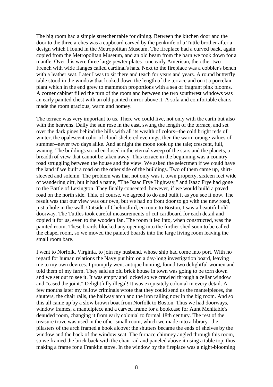The big room had a simple stretcher table for dining. Between the kitchen door and the door to the three arches was a cupboard carved by the penknife of a Tuttle brother after a design which I found in the Metropolitan Museum. The fireplace had a curved back, again copied from the Metropolitan Museum, and an old beam from the barn we took down for a mantle. Over this were three large pewter plates--one early American, the other two French with wide flanges called cardinal's hats. Next to the fireplace was a cobbler's bench with a leather seat. Later I was to sit there and teach for years and years. A round butterfly table stood in the window that looked down the length of the terrace and on it a porcelain plant which in the end grew to mammoth proportions with a sea of fragrant pink blooms. A corner cabinet filled the turn of the room and between the two southwest windows was an early painted chest with an old painted mirror above it. A sofa and comfortable chairs made the room gracious, warm and homey.

The terrace was very important to us. There we could live, not only with the earth but also with the heavens. Daily the sun rose in the east, swung the length of the terrace, and set over the dark pines behind the hills with all its wealth of colors--the cold bright reds of winter, the opalescent color of cloud-sheltered evenings, then the warm orange values of summer--never two days alike. And at night the moon took up the tale; crescent, full, waning. The buildings stood enclosed in the eternal sweep of the stars and the planets, a breadth of view that cannot be taken away. This terrace in the beginning was a country road struggling between the house and the view. We asked the selectmen if we could have the land if we built a road on the other side of the buildings. Two of them came up, shirtsleeved and solemn. The problem was that not only was it town property, sixteen feet wide of wandering dirt, but it had a name, "The Isaac Frye Highway," and Isaac Frye had gone to the Battle of Lexington. They finally consented, however, if we would build a paved road on the north side. This, of course, we agreed to do and built it as you see it now. The result was that our view was our own, but we had no front door to go with the new road, just a hole in the wall. Outside of Chelmsford, en route to Boston, I saw a beautiful old doorway. The Tuttles took careful measurements of cut cardboard for each detail and copied it for us, even to the wooden fan. The room it led into, when constructed, was the painted room. These boards blocked any opening into the further shed soon to be called the chapel room, so we moved the painted boards into the large living room leaving the small room bare.

I went to Norfolk, Virginia, to join my husband, whose ship had come into port. With no regard for human relations the Navy put him on a day-long investigation board, leaving me to my own devices. I promptly went antique hunting, found two delightful women and told them of my farm. They said an old brick house in town was going to be torn down and we set out to see it. It was empty and locked so we crawled through a cellar window and "cased the joint." Delightfully illegal! It was exquisitely colonial in every detail. A few months later my fellow criminals wrote that they could send us the mantelpieces, the shutters, the chair rails, the hallway arch and the iron railing now in the big room. And so this all came up by a slow brown boat from Norfolk to Boston. Thus we had doorways, window frames, a mantelpiece and a carved frame for a bookcase for Aunt Mehitable's denuded room, changing it from early colonial to formal 18th century. The rest of the treasure trove was used in the other small room, which we made into a library--the pilasters of the arch framed a book alcove; the shutters became the ends of shelves by the window and the back of the window seat. The furnace chimney angled through this room, so we framed the brick back with the chair rail and paneled above it using a table top, thus making a frame for a Franklin stove. In the window by the fireplace was a night-blooming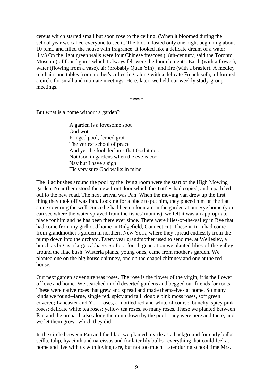cereus which started small but soon rose to the ceiling. (When it bloomed during the school year we called everyone to see it. The bloom lasted only one night beginning about 10 p.m., and filled the house with fragrance. It looked like a delicate dream of a water lily.) On the light green walls were four Chinese frescoes (18th-century, said the Toronto Museum) of four figures which I always felt were the four elements: Earth (with a flower), water (flowing from a vase), air (probably Quan Yin) , and fire (with a brazier). A medley of chairs and tables from mother's collecting, along with a delicate French sofa, all formed a circle for small and intimate meetings. Here, later, we held our weekly study-group meetings.

\*\*\*\*\*

But what is a home without a garden?

A garden is a lovesome spot God wot Fringed pool, ferned grot The veriest school of peace And yet the fool declares that God it not. Not God in gardens when the eve is cool Nay but I have a sign Tis very sure God walks in mine.

The lilac bushes around the pool by the living room were the start of the High Mowing garden. Near them stood the new front door which the Tuttles had copied, and a path led out to the new road. The next arrival was Pan. When the moving van drew up the first thing they took off was Pan. Looking for a place to put him, they placed him on the flat stone covering the well. Since he had been a fountain in the garden at our Rye home (you can see where the water sprayed from the fishes' mouths), we felt it was an appropriate place for him and he has been there ever since. There were lilies-of-the-valley in Rye that had come from my girlhood home in Ridgefield, Connecticut. These in turn had come from grandmother's garden in northern New York, where they spread endlessly from the pump down into the orchard. Every year grandmother used to send me, at Wellesley, a bunch as big as a large cabbage. So for a fourth generation we planted lilies-of-the-valley around the lilac bush. Wisteria plants, young ones, came from mother's garden. We planted one on the big house chimney, one on the chapel chimney and one at the red house.

Our next garden adventure was roses. The rose is the flower of the virgin; it is the flower of love and home. We searched in old deserted gardens and begged our friends for roots. These were native roses that grew and spread and made themselves at home. So many kinds we found--large, single red, spicy and tall; double pink moss roses, soft green covered; Lancaster and York roses, a mottled red and white of course; bunchy, spicy pink roses; delicate white tea roses; yellow tea roses, so many roses. These we planted between Pan and the orchard, also along the ramp down by the pool--they were here and there, and we let them grow--which they did.

In the circle between Pan and the lilac, we planted myrtle as a background for early bulbs, scilla, tulip, hyacinth and narcissus and for later lily bulbs--everything that could feel at home and live with us with loving care, but not too much. Later during school time Mrs.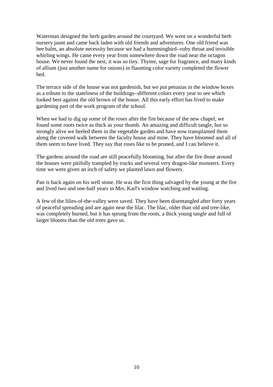Waterman designed the herb garden around the courtyard. We went on a wonderful herb nursery jaunt and came back laden with old friends and adventures. One old friend was bee balm, an absolute necessity because we had a hummingbird--ruby throat and invisible whirling wings. He came every year from somewhere down the road near the octagon house. We never found the nest, it was so tiny. Thyme, sage for fragrance, and many kinds of allium (just another name for onions) in flaunting color variety completed the flower bed.

The terrace side of the house was not gardenish, but we put petunias in the window boxes as a tribute to the stateliness of the buildings--different colors every year to see which looked best against the old brown of the house. All this early effort has lived to make gardening part of the work program of the school.

When we had to dig up some of the roses after the fire because of the new chapel, we found some roots twice as thick as your thumb. An amazing and difficult tangle, but so strongly alive we heeled them in the vegetable garden and have now transplanted them along the covered walk between the faculty house and mine. They have bloomed and all of them seem to have lived. They say that roses like to be pruned, and I can believe it.

The gardens around the road are still peacefully blooming, but after the fire those around the houses were pitifully trampled by trucks and several very dragon-like monsters. Every time we were given an inch of safety we planted lawn and flowers.

Pan is back again on his well stone. He was the first thing salvaged by the young at the fire and lived two and one-half years in Mrs. Karl's window watching and waiting.

A few of the lilies-of-the-valley were saved. They have been disentangled after forty years of peaceful spreading and are again near the lilac. The lilac, older than old and tree-like, was completely burned, but it has sprung from the roots, a thick young tangle and full of larger blooms than the old trees gave us.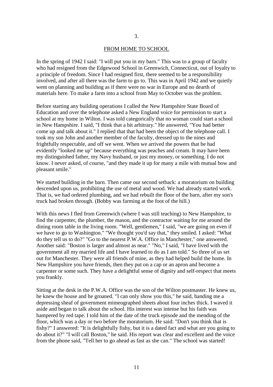#### FROM HOME TO SCHOOL

In the spring of 1942 I said: "I will put you in my barn." This was to a group of faculty who had resigned from the Edgewood School in Greenwich, Connecticut, out of loyalty to a principle of freedom. Since I had resigned first, there seemed to be a responsibility involved, and after all there was the farm to go to. This was in April 1942 and we quietly went on planning and building as if there were no war in Europe and no dearth of materials here. To make a farm into a school from May to October was the problem.

Before starting any building operations I called the New Hampshire State Board of Education and over the telephone asked a New England voice for permission to start a school at my home in Wilton. I was told categorically that no woman could start a school in New Hampshire. I said, "I think that a bit arbitrary." He answered, "You had better come up and talk about it." I replied that that had been the object of the telephone call. I took my son John and another member of the faculty, dressed up to the nines and frightfully respectable, and off we went. When we arrived the powers that be had evidently "looked me up" because everything was peaches and cream. It may have been my distinguished father, my Navy husband, or just my money, or something. I do not know. I never asked, of course, "and they made it up for many a mile with mutual bow and pleasant smile."

We started building in the barn. Then came our second setback: a moratorium on building descended upon us, prohibiting the use of metal and wood. We had already started work. That is, we had ordered plumbing, and we had rebuilt the floor of the barn, after my son's truck had broken through. (Bobby was farming at the foot of the hill.)

With this news I fled from Greenwich (where I was still teaching) to New Hampshire, to find the carpenter, the plumber, the mason, and the contractor waiting for me around the dining room table in the living room. "Well, gentlemen," I said, "we are going on even if we have to go to Washington." "We thought you'd say that," they smiled. I asked: "What do they tell us to do?" "Go to the nearest P.W.A. Office in Manchester," one answered. Another said: "Boston is larger and almost as near." "No," I said, "I have lived with the government all my married life and I have learned to do as I am told." So three of us set out for Manchester. They were all friends of mine, as they had helped build the home. In New Hampshire you have friends, then they put on a cap or an apron and become a carpenter or some such. They have a delightful sense of dignity and self-respect that meets you frankly.

Sitting at the desk in the P.W.A. Office was the son of the Wilton postmaster. He knew us, he knew the house and he groaned. "I can only show you this," he said, handing me a depressing sheaf of government mimeographed sheets about four inches thick. I waved it aside and began to talk about the school. His interest was intense but his faith was hampered by red tape. I told him of the date of the truck episode and the mending of the floor, which was a day or two before the moratorium. He said: "Don't you think that is fishy?" I answered: "It is delightfully fishy, but it is a dated fact and what are you going to do about it?" "I will call Boston," he said. His report was clear and excellent and the voice from the phone said, "Tell her to go ahead as fast as she can." The school was started!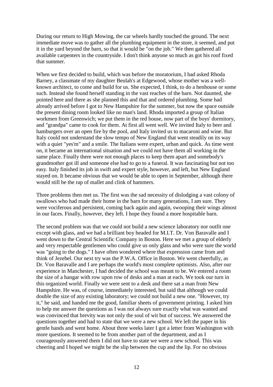During our return to High Mowing, the car wheels hardly touched the ground. The next immediate move was to gather all the plumbing equipment in the store, it seemed, and put it in the yard beyond the barn, so that it would be "on the job." We then gathered all available carpenters in the countryside. I don't think anyone so much as got his roof fixed that summer.

When we first decided to build, which was before the moratorium, I had asked Rhoda Barney, a classmate of my daughter Beulah's at Edgewood, whose mother was a wellknown architect, to come and build for us. She expected, I think, to do a henhouse or some such. Instead she found herself standing in the vast reaches of the barn. Not daunted, she pointed here and there as she planned this and that and ordered plumbing. Some had already arrived before I got to New Hampshire for the summer, but now the space outside the present dining room looked like no man's land. Rhoda imported a group of Italian workmen from Greenwich; we put them in the red house, now part of the boys' dormitory, and "grandpa" came to cook for them. At first all went well. We invited Italy to beer and hamburgers over an open fire by the pool, and Italy invited us to macaroni and wine. But Italy could not understand the slow tempo of New England that went steadily on its way with a quiet "yes'm" and a smile. The Italians were expert, urban and quick. As time went on, it became an international situation and we could not have them all working in the same place. Finally there were not enough places to keep them apart and somebody's grandmother got ill and someone else had to go to a funeral. It was fascinating but not too easy. Italy finished its job in swift and expert style, however, and left, but New England stayed on. It became obvious that we would be able to open in September, although there would still be the rap of mallet and clink of hammers.

Three problems then met us. The first was the sad necessity of dislodging a vast colony of swallows who had made their home in the barn for many generations, I am sure. They were vociferous and persistent, coming back again and again, swooping their wings almost in our faces. Finally, however, they left. I hope they found a more hospitable barn.

The second problem was that we could not build a new science laboratory nor outfit one except with glass, and we had a brilliant boy headed for M.I.T. Dr. Von Baravalle and I went down to the Central Scientific Company in Boston. Here we met a group of elderly and very respectable gentlemen who could give us only glass and who were sure the world was "going to the dogs." I have often wondered where that expression came from and think of Jezebel. Our next try was the P.W.A. Office in Boston. We went cheerfully, as Dr. Von Baravalle and I are perhaps the world's most complete optimists. Also, after our experience in Manchester, I had decided the school was meant to be. We entered a room the size of a hangar with row upon row of desks and a man at each. We took our turn in this organized world. Finally we were sent to a desk and there sat a man from New Hampshire. He was, of course, immediately interested, but said that although we could double the size of any existing laboratory; we could not build a new one. "However, try it," he said, and handed me the good, familiar sheets of government printing. I asked him to help me answer the questions as I was not always sure exactly what was wanted and was convinced that brevity was not only the soul of wit but of success. We answered the questions together and had to state that we were a new school. We left the paper in his gentle hands and went home. About three weeks later I got a letter from Washington with more questions. It seemed to be from another part of the department, and as I courageously answered them I did not have to state we were a new school. This was cheering and I hoped we might be the slip between the cup and the lip. For no obvious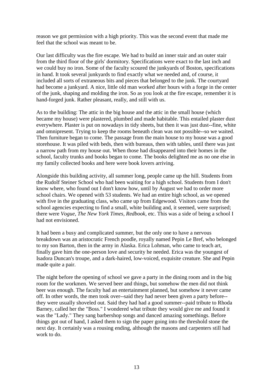reason we got permission with a high priority. This was the second event that made me feel that the school was meant to be.

Our last difficulty was the fire escape. We had to build an inner stair and an outer stair from the third floor of the girls' dormitory. Specifications were exact to the last inch and we could buy no iron. Some of the faculty scoured the junkyards of Boston, specifications in hand. It took several junkyards to find exactly what we needed and, of course, it included all sorts of extraneous bits and pieces that belonged to the junk. The courtyard had become a junkyard. A nice, little old man worked after hours with a forge in the center of the junk, shaping and molding the iron. So as you look at the fire escape, remember it is hand-forged junk. Rather pleasant, really, and still with us.

As to the building: The attic in the big house and the attic in the small house (which became my house) were plastered, plumbed and made habitable. This entailed plaster dust everywhere. Plaster is put on nowadays in tidy sheets, but then it was just dust--fine, white and omnipresent. Trying to keep the rooms beneath clean was not possible--so we waited. Then furniture began to come. The passage from the main house to my house was a good storehouse. It was piled with beds, then with bureaus, then with tables, until there was just a narrow path from my house out. When those had disappeared into their homes in the school, faculty trunks and books began to come. The books delighted me as no one else in my family collected books and here were book lovers arriving.

Alongside this building activity, all summer long, people came up the hill. Students from the Rudolf Steiner School who had been waiting for a high school. Students from I don't know where, who found out I don't know how, until by August we had to order more school chairs. We opened with 53 students. We had an entire high school, as we opened with five in the graduating class, who came up from Edgewood. Visitors came from the school agencies expecting to find a small, white building and, it seemed, were surprised; there were *Vogue, The New York Times, Redbook*, etc. This was a side of being a school I had not envisioned.

It had been a busy and complicated summer, but the only one to have a nervous breakdown was an aristocratic French poodle, royally named Pepin Le Bref, who belonged to my son Barton, then in the army in Alaska. Erica Lohman, who came to teach art, finally gave him the one-person love and security he needed. Erica was the youngest of Isadora Duncan's troupe, and a dark-haired, low-voiced, exquisite creature. She and Pepin made quite a pair.

The night before the opening of school we gave a party in the dining room and in the big room for the workmen. We served beer and things, but somehow the men did not think beer was enough. The faculty had an entertainment planned, but somehow it never came off. In other words, the men took over--said they had never been given a party before- they were usually shoveled out. Said they had had a good summer--paid tribute to Rhoda Barney, called her the "Boss." I wondered what tribute they would give me and found it was the "Lady." They sang barbershop songs and danced amazing somethings. Before things got out of hand, I asked them to sign the paper going into the threshold stone the next day. It certainly was a rousing ending, although the masons and carpenters still had work to do.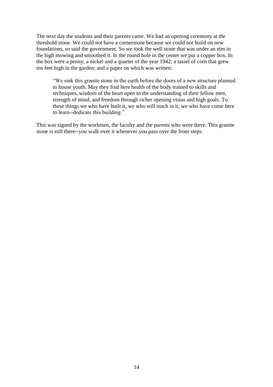The next day the students and their parents came. We had an opening ceremony at the threshold stone. We could not have a cornerstone because we could not build on new foundations, so said the government. So we took the well stone that was under an elm in the high mowing and smoothed it. In the round hole in the center we put a copper box. In the box were a penny, a nickel and a quarter of the year 1942; a tassel of corn that grew ten feet high in the garden; and a paper on which was written:

"We sink this granite stone in the earth before the doors of a new structure planned to house youth. May they find here health of the body trained to skills and techniques, wisdom of the heart open to the understanding of their fellow men, strength of mind, and freedom through richer opening vistas and high goals. To these things we who have built it, we who will teach in it, we who have come here to learn--dedicate this building."

This was signed by the workmen, the faculty and the parents who were there. This granite stone is still there--you walk over it whenever you pass over the front steps.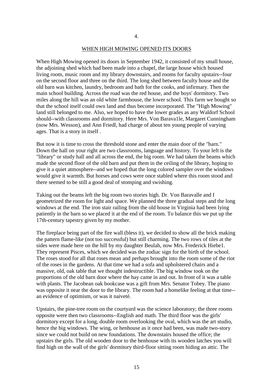#### WHEN HIGH MOWING OPENED ITS DOORS

When High Mowing opened its doors in September 1942, it consisted of my small house, the adjoining shed which had been made into a chapel, the large house which housed living room, music room and my library downstairs, and rooms for faculty upstairs--four on the second floor and three on the third. The long shed between faculty house and the old barn was kitchen, laundry, bedroom and bath for the cooks, and infirmary. Then the main school building. Across the road was the red house, and the boys' dormitory. Two miles along the hill was an old white farmhouse, the lower school. This farm we bought so that the school itself could own land and thus become incorporated. The "High Mowing" land still belonged to me. Also, we hoped to have the lower grades as any Waldorf School should--with classrooms and dormitory. Here Mrs. Von Barava1le, Margaret Cunningham (now Mrs. Wesson), and Ann Friedl, had charge of about ten young people of varying ages. That is a story in itself .

But now it is time to cross the threshold stone and enter the main door of the "barn." Down the hall on your right are two classrooms, language and history. To your left is the "library" or study hall and all across the end, the big room. We had taken the beams which made the second floor of the old barn and put them in the ceiling of the library, hoping to give it a quiet atmosphere--and we hoped that the long colored sampler over the windows would give it warmth. But horses and cows were once stabled where this room stood and there seemed to be still a good deal of stomping and swishing.

Taking out the beams left the big room two stories high. Dr. Von Baravalle and I geometrized the room for light and space. We planned the three gradual steps and the long windows at the end. The iron stair railing from the old house in Virginia had been lying patiently in the barn so we placed it at the end of the room. To balance this we put up the 17th-century tapestry given by my mother.

The fireplace being part of the fire wall (bless it), we decided to show all the brick making the pattern flame-like (not too successful) but still charming. The two rows of tiles at the sides were made here on the hill by my daughter Beulah, now Mrs. Frederick Hiebe1. They represent Pisces, which we decided was the zodiac sign for the birth of the school. The roses stood for all that roses mean and perhaps brought into the room some of the riot of the roses in the gardens. At that time we had a sofa and upholstered chairs and a massive, old, oak table that we thought indestructible. The big window took on the proportions of the old barn door where the hay came in and out. In front of it was a table with plants. The Jacobean oak bookcase was a gift from Mrs. Senator Tobey. The piano was opposite it near the door to the library. The room had a homelike feeling at that time- an evidence of optimism, or was it naiveté.

Upstairs, the pine-tree room on the courtyard was the science laboratory; the three rooms opposite were then two classrooms--English and math. The third floor was the girls' dormitory except for a long, double room overlooking the oval, which was the art studio, hence the big windows. The wing, or henhouse as it once had been, was made two-story since we could not build on new foundations. The downstairs housed the office; the upstairs the girls. The old wooden door to the henhouse with its wooden latches you will find high on the wall of the girls' dormitory third-floor sitting room hiding an attic. The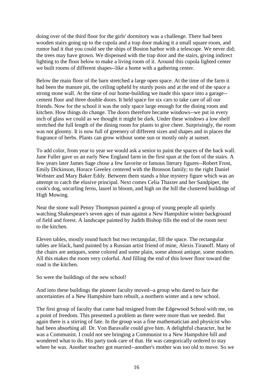doing over of the third floor for the girls' dormitory was a challenge. There had been wooden stairs going up to the cupola and a trap door making it a small square room, and rumor had it that you could see the ships of Boston harbor with a telescope. We never did; the trees may have grown. We dispensed with the trap door and the stairs, giving indirect lighting to the floor below to make a living room of it. Around this cupola lighted center we built rooms of different shapes--like a home with a gathering center.

Below the main floor of the barn stretched a large open space. At the time of the farm it had been the manure pit, the ceiling upheld by sturdy posts and at the end of the space a strong stone wall. At the time of our home-building we made this space into a garage- cement floor and three double doors. It held space for six cars to take care of all our friends. Now for the school it was the only space large enough for the dining room and kitchen. How things do change. The doors therefore became windows--we put in every inch of glass we could as we thought it might be dark. Under these windows a low shelf stretched the full length of the dining room for plants to give cheer. Surprisingly, the room was not gloomy. It is now full of greenery of different sizes and shapes and in places the fragrance of herbs. Plants can grow without some sun or mostly only at sunset.

To add color, from year to year we would ask a senior to paint the spaces of the back wall. Jane Fuller gave us an early New England farm in the first span at the foot of the stairs. A few years later James Sage chose a few favorite or famous literary figures--Robert Frost, Emily Dickinson, Horace Greeley centered with the Bronson family; to the right Daniel Webster and Mary Baker Eddy. Between them stands a blue mystery figure which was an attempt to catch the elusive principal. Next comes Celia Thaxter and her Sandpiper, the cook's dog, uncurling ferns, laurel in bloom, and high on the hill the clustered buildings of High Mowing.

Near the stone wall Penny Thompson painted a group of young people all quietly watching Shakespeare's seven ages of man against a New Hampshire winter background of field and forest. A landscape painted by Judith Bishop fills the end of the room next to the kitchen.

Eleven tables, mostly round hutch but two rectangular, fill the space. The rectangular tables are black, hand painted by a Russian artist friend of mine, Alexis Tiranoff. Many of the chairs are antiques, some colored and some plain, some almost antique, some modern. All this makes the room very colorful. And filling the end of this lower floor toward the road is the kitchen.

So were the buildings of the new school!

And into these buildings the pioneer faculty moved--a group who dared to face the uncertainties of a New Hampshire barn rebuilt, a northern winter and a new school.

The first group of faculty that came had resigned from the Edgewood School with me, on a point of freedom. This presented a problem as there were more than we needed. But again there is a stirring of fate. In the group was a fine mathematician and physicist who had been absorbing all Dr. Von Baravalle could give him. A delightful character, but he was a Communist. I could not see bringing a Communist to a New Hampshire hill and wondered what to do. His party took care of that. He was categorically ordered to stay where he was. Another teacher got married--another's mother was too old to move. So we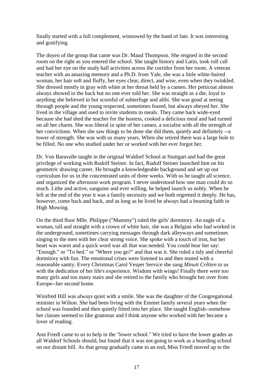finally started with a full complement, winnowed by the hand of fate. It was interesting and gratifying.

The doyen of the group that came was Dr. Maud Thompson. She reigned in the second room on the right as you entered the school. She taught history and Latin, took roll call and had her eye on the study hall activities across the corridor from her room. A veteran teacher with an amazing memory and a Ph.D. from Yale, she was a little white-haired woman, her hair soft and fluffy, her eyes clear, direct, and wise, even when they twinkled. She dressed mostly in gray with white at her throat held by a cameo. Her petticoat almost always showed in the back but no one ever told her. She was straight as a die, loyal to anything she believed in but scornful of subterfuge and alibi. She was good at seeing through people and the young respected, sometimes feared, but always obeyed her. She lived in the village and used to invite students to meals. They came back wide-eyed because she had shed the teacher for the hostess, cooked a delicious meal and had turned on all her charm. She was liberal in spite of her cameo, a socialist with all the strength of her convictions. When she saw things to be done she did them, quietly and definitely --a tower of strength. She was with us many years. When she retired there was a large hole to be filled. No one who studied under her or worked with her ever forgot her.

Dr. Von Baravalle taught in the original Waldorf School at Stuttgart and had the great privilege of working with Rudolf Steiner. In fact, Rudolf Steiner launched him on his geometric drawing career. He brought a knowledgeable background and set up our curriculum for us in the concentrated units of three weeks. With us he taught all science, and organized the afternoon work program. I never understood how one man could do so much. Lithe and active, sanguine and ever willing, he helped launch us nobly. When he left at the end of the year it was a family necessity and we both regretted it deeply. He has, however, come back and back, and as long as he lived he always had a beaming faith in High Mowing.

On the third floor Mlle. Philippe ("Mammy") ruled the girls' dormitory. An eagle of a woman, tall and straight with a crown of white hair, she was a Belgian who had worked in the underground, sometimes carrying messages through dark alleyways and sometimes singing to the men with her clear strong voice. She spoke with a touch of iron, but her heart was warm and a quick word was all that was needed. You could hear her say: "Enough." or "To bed." or "Where you go?" and that was it. She ruled a tidy and cheerful dormitory with fun. The emotional crises were listened to and then muted with a reasonable sanity. Every Christmas Carol Vesper Service she sang *Minuit Crêtien* to us with the dedication of her life's experience. Wisdom with wings! Finally there were too many girls and too many stairs and she retired to the family who brought her over from Europe--her second home.

Winifred Hill was always quiet with a smile. She was the daughter of the Congregational minister in Wilton. She had been living with the Emmet family several years when the school was founded and then quietly fitted into her place. She taught English--somehow her classes seemed to like grammar and I think anyone who worked with her became a lover of reading.

Ann Friedl came to us to help in the "lower school." We tried to have the lower grades as all Waldorf Schools should, but found that it was not going to work as a boarding school on our distant hill. As that group gradually came to an end, Miss Friedl moved up to the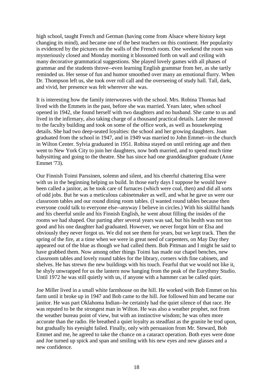high school, taught French and German (having come from Alsace where history kept changing its mind), and became one of the best teachers on this continent. Her popularity is evidenced by the pictures on the walls of the French room. One weekend the room was mysteriously closed and Monday morning it blossomed forth on wall and ceiling with many decorative grammatical suggestions. She played lovely games with all phases of grammar and the students throve--even learning English grammar from her, as she tartly reminded us. Her sense of fun and humor smoothed over many an emotional flurry. When Dr. Thompson left us, she took over roll call and the overseeing of study hall. Tall, dark, and vivid, her presence was felt wherever she was.

It is interesting how the family interweaves with the school. Mrs. Robina Thomas had lived with the Emmets in the past, before she was married. Years later, when school opened in 1942, she found herself with two daughters and no husband. She came to us and lived in the infirmary, also taking charge of a thousand practical details. Later she moved to the faculty building and took on some of the office work, as well as housekeeping details. She had two deep-seated loyalties: the school and her growing daughters. Joan graduated from the school in 1947, and in 1949 was married to John Emmet--in the church in Wilton Center. Sylvia graduated in 1951. Robina stayed on until retiring age and then went to New York City to join her daughters, now both married, and to spend much time babysitting and going to the theatre. She has since had one granddaughter graduate (Anne Emmet '73).

Our Finnish Toimi Parssinen, solemn and silent, and his cheerful chattering Elsa were with us in the beginning helping us build. In those early days I suppose he would have been called a janitor, as he took care of furnaces (which were coal, then) and did all sorts of odd jobs. But he was a meticulous cabinetmaker as well, and what he gave us were our classroom tables and our round dining room tables. (I wanted round tables because then everyone could talk to everyone else--anyway I believe in circles.) With his skillful hands and his cheerful smile and his Finnish English, he went about filling the insides of the rooms we had shaped. Our parting after several years was sad, but his health was not too good and his one daughter had graduated. However, we never forgot him or Elsa and obviously they never forgot us. We did not see them for years, but we kept track. Then the spring of the fire, at a time when we were in great need of carpenters, on May Day they appeared out of the blue as though we had called them. Bob Pittman and I might be said to have grabbed them. Now among other things Toimi has made our chapel benches, new classroom tables and lovely round tables for the library, corners with fine cabinets, and shelves. He has strewn the new buildings with his touch. Fearful that we would not like it, he shyly unwrapped for us the lantern now hanging from the peak of the Eurythmy Studio. Until 1972 he was still quietly with us, if anyone with a hammer can be called quiet.

Joe Miller lived in a small white farmhouse on the hill. He worked with Bob Emmet on his farm until it broke up in 1947 and Bob came to the hill. Joe followed him and became our janitor. He was part Oklahoma Indian--he certainly had the quiet silence of that race. He was reputed to be the strongest man in Wilton. He was also a weather prophet, not from the weather bureau point of view, but with an instinctive wisdom; he was often more accurate than the radio. He breathed a quiet loyalty as steadfast as the granite he trod upon, but gradually his eyesight failed. Finally, only with persuasion from Mr. Steward, Bob Emmet and me, he agreed to take the chance on a cataract operation. Both eyes were done and Joe turned up spick and span and smiling with his new eyes and new glasses and a new confidence.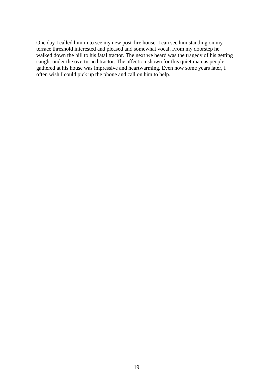One day I called him in to see my new post-fire house. I can see him standing on my terrace threshold interested and pleased and somewhat vocal. From my doorstep he walked down the hill to his fatal tractor. The next we heard was the tragedy of his getting caught under the overturned tractor. The affection shown for this quiet man as people gathered at his house was impressive and heartwarming. Even now some years later, I often wish I could pick up the phone and call on him to help.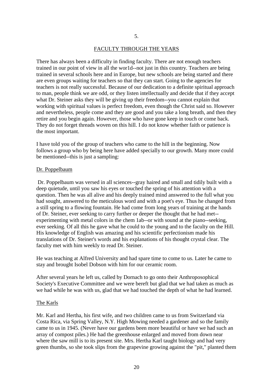#### FACULTY THROUGH THE YEARS

There has always been a difficulty in finding faculty. There are not enough teachers trained in our point of view in all the wor1d--not just in this country. Teachers are being trained in several schools here and in Europe, but new schools are being started and there are even groups waiting for teachers so that they can start. Going to the agencies for teachers is not really successful. Because of our dedication to a definite spiritual approach to man, people think we are odd, or they listen intellectually and decide that if they accept what Dr. Steiner asks they will be giving up their freedom--you cannot explain that working with spiritual values is perfect freedom, even though the Christ said so. However and nevertheless, people come and they are good and you take a long breath, and then they retire and you begin again. However, those who have gone keep in touch or come back. They do not forget threads woven on this hill. I do not know whether faith or patience is the most important.

I have told you of the group of teachers who came to the hill in the beginning. Now follows a group who by being here have added specially to our growth. Many more could be mentioned--this is just a sampling:

#### Dr. Poppelbaum

Dr. Poppelbaum was versed in all sciences--gray haired and small and tidily built with a deep quietude, until you saw his eyes or touched the spring of his attention with a question. Then he was all alive and his deeply trained mind answered to the full what you had sought, answered to the meticulous word and with a poet's eye. Thus he changed from a still spring to a flowing fountain. He had come from long years of training at the hands of Dr. Steiner, ever seeking to carry further or deeper the thought that he had met- experimenting with metal colors in the chem 1ab--or with sound at the piano--seeking, ever seeking. Of all this he gave what he could to the young and to the faculty on the Hill. His knowledge of English was amazing and his scientific perfectionism made his translations of Dr. Steiner's words and his explanations of his thought crystal clear. The faculty met with him weekly to read Dr. Steiner.

He was teaching at Alfred University and had spare time to come to us. Later he came to stay and brought Isobel Dobson with him for our ceramic room.

After several years he left us, called by Dornach to go onto their Anthroposophical Society's Executive Committee and we were bereft but glad that we had taken as much as we had while he was with us, glad that we had touched the depth of what he had learned.

#### The Karls

Mr. Karl and Hertha, his first wife, and two children came to us from Switzerland via Costa Rica, via Spring Valley, N.Y. High Mowing needed a gardener and so the family came to us in 1945. (Never have our gardens been more beautiful or have we had such an array of compost piles.) He had the greenhouse enlarged and moved from down near where the saw mill is to its present site. Mrs. Hertha Karl taught biology and had very green thumbs, so she took slips from the grapevine growing against the "pit," planted them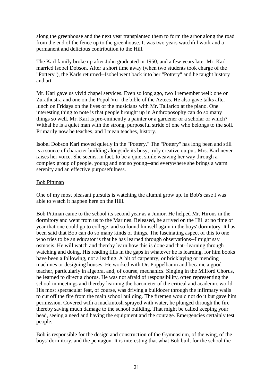along the greenhouse and the next year transplanted them to form the arbor along the road from the end of the fence up to the greenhouse. It was two years watchful work and a permanent and delicious contribution to the Hill.

The Karl family broke up after John graduated in 1950, and a few years later Mr. Karl married Isobel Dobson. After a short time away (when two students took charge of the "Pottery"), the Karls returned--Isobel went back into her "Pottery" and he taught history and art.

Mr. Karl gave us vivid chapel services. Even so long ago, two I remember well: one on Zurathustra and one on the Popol Vu--the bible of the Aztecs. He also gave talks after lunch on Fridays on the lives of the musicians with Mr. Tallarico at the piano. One interesting thing to note is that people brought up in Anthroposophy can do so many things so well. Mr. Karl is pre-eminently a painter or a gardener or a scholar or which? Withal he is a quiet man with the strong, purposeful stride of one who belongs to the soil. Primarily now he teaches, and I mean teaches, history.

Isobel Dobson Karl moved quietly in the "Pottery." The "Pottery" has long been and still is a source of character building alongside its busy, truly creative output. Mrs. Karl never raises her voice. She seems, in fact, to be a quiet smile weaving her way through a complex group of people, young and not so young--and everywhere she brings a warm serenity and an effective purposefulness.

# Bob Pittman

One of my most pleasant pursuits is watching the alumni grow up. In Bob's case I was able to watch it happen here on the Hill.

Bob Pittman came to the school its second year as a Junior. He helped Mr. Hirons in the dormitory and went from us to the Marines. Released, he arrived on the Hill at no time of year that one could go to college, and so found himself again in the boys' dormitory. It has been said that Bob can do so many kinds of things. The fascinating aspect of this to one who tries to be an educator is that he has learned through observations--I might say osmosis. He will watch and thereby learn how this is done and that--learning through watching and doing. His reading fills in the gaps in whatever he is learning, for him books have been a following, not a leading. A bit of carpentry, or bricklaying or mending machines or designing houses. He worked with Dr. Poppelbaum and became a good teacher, particularly in algebra, and, of course, mechanics. Singing in the Milford Chorus, he learned to direct a chorus. He was not afraid of responsibility, often representing the school in meetings and thereby learning the barometer of the critical and academic world. His most spectacular feat, of course, was driving a bulldozer through the infirmary walls to cut off the fire from the main school building. The firemen would not do it but gave him permission. Covered with a mackintosh sprayed with water, he plunged through the fire thereby saving much damage to the school building. That might be called keeping your head, seeing a need and having the equipment and the courage. Emergencies certainly test people.

Bob is responsible for the design and construction of the Gymnasium, of the wing, of the boys' dormitory, and the pentagon. It is interesting that what Bob built for the school the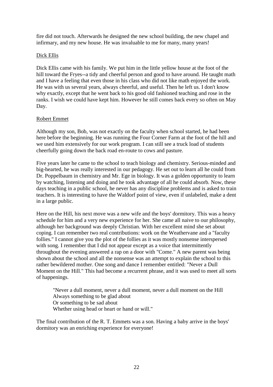fire did not touch. Afterwards he designed the new school building, the new chapel and infirmary, and my new house. He was invaluable to me for many, many years!

# Dick Ellis

Dick Ellis came with his family. We put him in the little yellow house at the foot of the hill toward the Fryes--a tidy and cheerful person and good to have around. He taught math and I have a feeling that even those in his class who did not like math enjoyed the work. He was with us several years, always cheerful, and useful. Then he left us. I don't know why exactly, except that he went back to his good old fashioned teaching and rose in the ranks. I wish we could have kept him. However he still comes back every so often on May Day.

# Robert Emmet

Although my son, Bob, was not exactly on the faculty when school started, he had been here before the beginning. He was running the Four Corner Farm at the foot of the hill and we used him extensively for our work program. I can still see a truck load of students cheerfully going down the back road en-route to cows and pasture.

Five years later he came to the school to teach biology and chemistry. Serious-minded and big-hearted, he was really interested in our pedagogy. He set out to learn all he could from Dr. Poppelbaum in chemistry and Mr. Ege in biology. It was a golden opportunity to learn by watching, listening and doing and he took advantage of all he could absorb. Now, these days teaching in a public school, he never has any discipline problems and is asked to train teachers. It is interesting to have the Waldorf point of view, even if unlabeled, make a dent in a large public.

Here on the Hill, his next move was a new wife and the boys' dormitory. This was a heavy schedule for him and a very new experience for her. She came all naive to our philosophy, although her background was deeply Christian. With her excellent mind she set about coping. I can remember two real contributions: work on the Weathervane and a "faculty follies." I cannot give you the plot of the follies as it was mostly nonsense interspersed with song. I remember that I did not appear except as a voice that intermittently throughout the evening answered a rap on a door with "Come." A new parent was being shown about the school and all the nonsense was an attempt to explain the school to this rather bewildered mother. One song and dance I remember entitled: "Never a Dull Moment on the Hill." This had become a recurrent phrase, and it was used to meet all sorts of happenings.

"Never a dull moment, never a dull moment, never a dull moment on the Hill Always something to be glad about Or something to be sad about Whether using head or heart or hand or will."

The final contribution of the R. T. Emmets was a son. Having a baby arrive in the boys' dormitory was an enriching experience for everyone!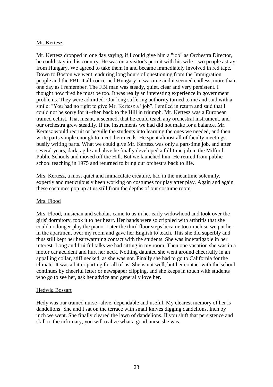# Mr. Kertesz

Mr. Kertesz dropped in one day saying, if I could give him a "job" as Orchestra Director, he could stay in this country. He was on a visitor's permit with his wife--two people astray from Hungary. We agreed to take them in and became immediately involved in red tape. Down to Boston we went, enduring long hours of questioning from the Immigration people and the FBI. It all concerned Hungary in wartime and it seemed endless, more than one day as I remember. The FBI man was steady, quiet, clear and very persistent. I thought how tired he must be too. It was really an interesting experience in government problems. They were admitted. Our long suffering authority turned to me and said with a smile: "You had no right to give Mr. Kertesz a "job". I smiled in return and said that I could not be sorry for it--then back to the Hill in triumph. Mr. Kertesz was a European trained cellist. That meant, it seemed, that he could teach any orchestral instrument, and our orchestra grew steadily. If the instruments we had did not make for a balance, Mr. Kertesz would recruit or beguile the students into learning the ones we needed, and then write parts simple enough to meet their needs. He spent almost all of faculty meetings busily writing parts. What we could give Mr. Kertesz was only a part-time job, and after several years, dark, agile and alive he finally developed a full time job in the Milford Public Schools and moved off the Hill. But we launched him. He retired from public school teaching in 1975 and returned to bring our orchestra back to life.

Mrs. Kertesz, a most quiet and immaculate creature, had in the meantime solemnly, expertly and meticulously been working on costumes for play after play. Again and again these costumes pop up at us still from the depths of our costume room.

# Mrs. Flood

Mrs. Flood, musician and scholar, came to us in her early widowhood and took over the girls' dormitory, took it to her heart. Her hands were so crippled with arthritis that she could no longer play the piano. Later the third floor steps became too much so we put her in the apartment over my room and gave her English to teach. This she did superbly and thus still kept her heartwarming contact with the students. She was indefatigable in her interest. Long and fruitful talks we had sitting in my room. Then one vacation she was in a motor car accident and hurt her neck. Nothing daunted she went around cheerfully in an appalling collar, stiff necked, as she was not. Finally she had to go to California for the climate. It was a bitter parting for all of us. She is not well, but her contact with the school continues by cheerful letter or newspaper clipping, and she keeps in touch with students who go to see her, ask her advice and generally love her.

# Hedwig Bossart

Hedy was our trained nurse--alive, dependable and useful. My clearest memory of her is dandelions! She and I sat on the terrace with small knives digging dandelions. Inch by inch we went. She finally cleared the lawn of dandelions. If you shift that persistence and skill to the infirmary, you will realize what a good nurse she was.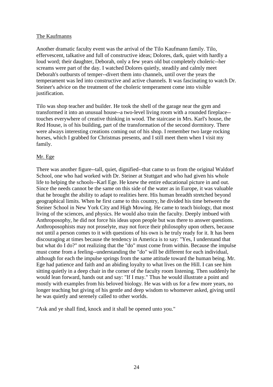# The Kaufmanns

Another dramatic faculty event was the arrival of the Tilo Kaufmann family. Tilo, effervescent, talkative and full of constructive ideas; Dolores, dark, quiet with hardly a loud word; their daughter, Deborah, only a few years old but completely choleric--her screams were part of the day. I watched Dolores quietly, steadily and calmly meet Deborah's outbursts of temper--divert them into channels, until over the years the temperament was led into constructive and active channels. It was fascinating to watch Dr. Steiner's advice on the treatment of the choleric temperament come into visible justification.

Tilo was shop teacher and builder. He took the shell of the garage near the gym and transformed it into an unusual house--a two-level living room with a rounded fireplace- touches everywhere of creative thinking in wood. The staircase in Mrs. Karl's house, the Red House, is of his building, part of the transformation of the second dormitory. There were always interesting creations coming out of his shop. I remember two large rocking horses, which I grabbed for Christmas presents, and I still meet them when I visit my family.

# Mr. Ege

There was another figure--tall, quiet, dignified--that came to us from the original Waldorf School, one who had worked with Dr. Steiner at Stuttgart and who had given his whole life to helping the schools--Karl Ege. He knew the entire educational picture in and out. Since the needs cannot be the same on this side of the water as in Europe, it was valuable that he brought the ability to adapt to realities here. His human breadth stretched beyond geographical limits. When he first came to this country, he divided his time between the Steiner School in New York City and High Mowing. He came to teach biology, that most living of the sciences, and physics. He would also train the faculty. Deeply imbued with Anthroposophy, he did not force his ideas upon people but was there to answer questions. Anthroposophists may not proselyte, may not force their philosophy upon others, because not until a person comes to it with questions of his own is he truly ready for it. It has been discouraging at times because the tendency in America is to say: "Yes, I understand that but what do I do?" not realizing that the "do" must come from within. Because the impulse must come from a feeling--understanding the "do" will be different for each individual, although for each the impulse springs from the same attitude toward the human being. Mr. Ege had patience and faith and an abiding loyalty to what lives on the Hill. I can see him sitting quietly in a deep chair in the corner of the faculty room listening. Then suddenly he would lean forward, hands out and say: "If I may." Thus he would illustrate a point and mostly with examples from his beloved biology. He was with us for a few more years, no longer teaching but giving of his gentle and deep wisdom to whomever asked, giving until he was quietly and serenely called to other worlds.

"Ask and ye shall find, knock and it shall be opened unto you."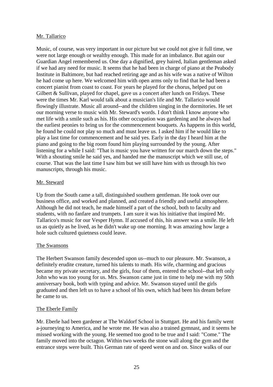# Mr. Tallarico

Music, of course, was very important in our picture but we could not give it full time, we were not large enough or wealthy enough. This made for an imbalance. But again our Guardian Angel remembered us. One day a dignified, grey haired, Italian gentleman asked if we had any need for music. It seems that he had been in charge of piano at the Peabody Institute in Baltimore, but had reached retiring age and as his wife was a native of Wilton he had come up here. We welcomed him with open arms only to find that he had been a concert pianist from coast to coast. For years he played for the chorus, helped put on Gilbert & Sullivan, played for chapel, gave us a concert after lunch on Fridays. These were the times Mr. Karl would talk about a musician's life and Mr. Tallarico would flowingly illustrate. Music all around--and the children singing in the dormitories. He set our morning verse to music with Mr. Steward's words. I don't think I know anyone who met life with a smile such as his. His other occupation was gardening and he always had the earliest peonies to bring us for the commencement bouquets. As happens in this world, he found he could not play so much and must leave us. I asked him if he would like to play a last time for commencement and he said yes. Early in the day I heard him at the piano and going to the big room found him playing surrounded by the young. After listening for a while I said: "That is music you have written for our march down the steps." With a shouting smile he said yes, and handed me the manuscript which we still use, of course. That was the last time I saw him but we still have him with us through his two manuscripts, through his music.

# Mr. Steward

Up from the South came a tall, distinguished southern gentleman. He took over our business office, and worked and planned, and created a friendly and useful atmosphere. Although he did not teach, he made himself a part of the school, both to faculty and students, with no fanfare and trumpets. I am sure it was his initiative that inspired Mr. Tallarico's music for our Vesper Hymn. If accused of this, his answer was a smile. He left us as quietly as he lived, as he didn't wake up one morning. It was amazing how large a hole such cultured quietness could leave.

# The Swansons

The Herbert Swanson family descended upon us--much to our pleasure. Mr. Swanson, a definitely erudite creature, turned his talents to math. His wife, charming and gracious became my private secretary, and the girls, four of them, entered the school--that left only John who was too young for us. Mrs. Swanson came just in time to help me with my 50th anniversary book, both with typing and advice. Mr. Swanson stayed until the girls graduated and then left us to have a school of his own, which had been his dream before he came to us.

# The Eberle Family

Mr. Eberle had been gardener at The Waldorf School in Stuttgart. He and his family went a-journeying to America, and he wrote me. He was also a trained gymnast, and it seems he missed working with the young. He seemed too good to be true and I said: "Come." The family moved into the octagon. Within two weeks the stone wall along the gym and the entrance steps were built. This German rate of speed went on and on. Since walks of our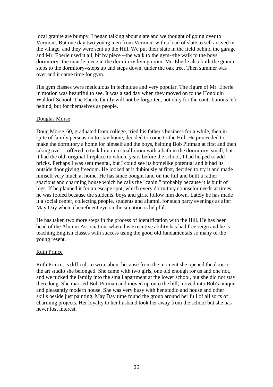local granite are bumpy, I began talking about slate and we thought of going over to Vermont. But one day two young men from Vermont with a load of slate to sell arrived in the village, and they were sent up the Hill. We put their slate in the field behind the garage and Mr. Eberle used it all, bit by piece --the walk to the gym--the walk to the boys' dormitory--the mantle piece in the dormitory living room. Mr. Eberle also built the granite steps to the dormitory--steps up and steps down, under the oak tree. Then summer was over and it came time for gym.

His gym classes were meticulous in technique and very popular. The figure of Mr. Eberle in motion was beautiful to see. It was a sad day when they moved on to the Honolulu Waldorf School. The Eberle family will not be forgotten, not only for the contributions left behind, but for themselves as people.

# Douglas Morse

Doug Morse '60, graduated from college, tried his father's business for a while, then in spite of family persuasion to stay home, decided to come to the Hill. He proceeded to make the dormitory a home for himself and the boys, helping Bob Pittman at first and then taking over. I offered to tuck him in a small room with a bath in the dormitory, small, but it had the old, original fireplace to which, years before the school, I had helped to add bricks. Perhaps I was sentimental, but I could see its homelike potential and it had its outside door giving freedom. He looked at it dubiously at first, decided to try it and made himself very much at home. He has since bought land on the hill and built a rather spacious and charming house which he calls the "cabin," probably because it is built of logs. If he planned it for an escape spot, which every dormitory counselor needs at times, he was fooled because the students, boys and girls, follow him down. Lately he has made it a social center, collecting people, students and alumni, for such party evenings as after May Day when a beneficent eye on the situation is helpful.

He has taken two more steps in the process of identification with the Hill. He has been head of the Alumni Association, where his executive ability has had free reign and he is teaching English classes with success using the good old fundamentals so many of the young resent.

#### Ruth Prince

Ruth Prince, is difficult to write about because from the moment she opened the door to the art studio she belonged. She came with two girls, one old enough for us and one not, and we tucked the family into the small apartment at the lower school, but she did not stay there long. She married Bob Pittman and moved up onto the hill, moved into Bob's unique and pleasantly modern house. She was very busy with her studio and house and other skills beside just painting. May Day time found the group around her full of all sorts of charming projects. Her loyalty to her husband took her away from the school but she has never lost interest.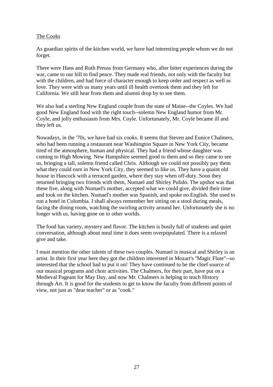# The Cooks

As guardian spirits of the kitchen world, we have had interesting people whom we do not forget.

There were Hans and Ruth Preuss from Germany who, after bitter experiences during the war, came to our hill to find peace. They made real friends, not only with the faculty but with the children, and had force of character enough to keep order and respect as well as love. They were with us many years until ill health overtook them and they left for California. We still hear from them and alumni drop by to see them.

We also had a sterling New England couple from the state of Maine--the Coyles. We had good New England food with the right touch--solemn New England humor from Mr. Coyle, and jolly enthusiasm from Mrs. Coyle. Unfortunately, Mr. Coyle became ill and they left us.

Nowadays, in the '70s, we have had six cooks. It seems that Steven and Eunice Chalmers, who had been running a restaurant near Washington Square in New York City, became tired of the atmosphere, human and physical. They had a friend whose daughter was coming to High Mowing. New Hampshire seemed good to them and so they came to see us, bringing a tall, solemn friend called Chris. Although we could not possibly pay them what they could earn in New York City, they seemed to like us. They have a quaint old house in Hancock with a terraced garden, where they stay when off-duty. Soon they returned bringing two friends with them, Numael and Shirley Pulido. The upshot was that these five, along with Numael's mother, accepted what we could give, divided their time and took on the kitchen. Numael's mother was Spanish, and spoke no English. She used to run a hotel in Colombia. I shall always remember her sitting on a stool during meals, facing the dining room, watching the swirling activity around her. Unfortunately she is no longer with us, having gone on to other worlds.

The food has variety, mystery and flavor. The kitchen is busily full of students and quiet conversation, although about meal time it does seem overpopulated. There is a relaxed give and take.

I must mention the other talents of these two couples. Numael is musical and Shirley is an artist. In their first year here they got the children interested in Mozart's ''Magic Flute"--so interested that the school had to put it on! They have continued to be the chief source of our musical programs and choir activities. The Chalmers, for their part, have put on a Medieval Pageant for May Day, and now Mr. Chalmers is helping to teach History through Art. It is good for the students to get to know the faculty from different points of view, not just as "dear teacher" or as "cook."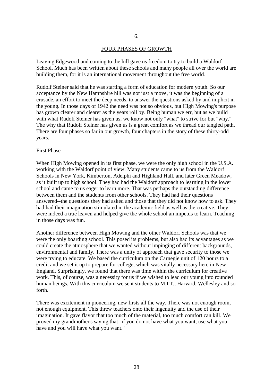#### FOUR PHASES OF GROWTH

Leaving Edgewood and coming to the hill gave us freedom to try to build a Waldorf School. Much has been written about these schools and many people all over the world are building them, for it is an international movement throughout the free world.

Rudolf Steiner said that he was starting a form of education for modern youth. So our acceptance by the New Hampshire hill was not just a move, it was the beginning of a crusade, an effort to meet the deep needs, to answer the questions asked by and implicit in the young. In those days of 1942 the need was not so obvious, but High Mowing's purpose has grown clearer and clearer as the years roll by. Being human we err, but as we build with what Rudolf Steiner has given us, we know not only "what" to strive for but "why." The why that Rudolf Steiner has given us is a great comfort as we thread our tangled path. There are four phases so far in our growth, four chapters in the story of these thirty-odd years.

#### First Phase

When High Mowing opened in its first phase, we were the only high school in the U.S.A. working with the Waldorf point of view. Many students came to us from the Waldorf Schools in New York, Kimberton, Adelphi and Highland Hall, and later Green Meadow, as it built up to high school. They had had the Waldorf approach to learning in the lower school and came to us eager to learn more. That was perhaps the outstanding difference between them and the students from other schools. They had had their questions answered--the questions they had asked and those that they did not know how to ask. They had had their imagination stimulated in the academic field as well as the creative. They were indeed a true leaven and helped give the whole school an impetus to learn. Teaching in those days was fun.

Another difference between High Mowing and the other Waldorf Schools was that we were the only boarding school. This posed its problems, but also had its advantages as we could create the atmosphere that we wanted without impinging of different backgrounds, environmental and family. There was a unity of approach that gave security to those we were trying to educate. We based the curriculum on the Carnegie unit of 120 hours to a credit and we set it up to prepare for college, which was vitally necessary here in New England. Surprisingly, we found that there was time within the curriculum for creative work. This, of course, was a necessity for us if we wished to lead our young into rounded human beings. With this curriculum we sent students to M.I.T., Harvard, Wellesley and so forth.

There was excitement in pioneering, new firsts all the way. There was not enough room, not enough equipment. This threw teachers onto their ingenuity and the use of their imagination. It gave flavor that too much of the material, too much comfort can kill. We proved my grandmother's saying that "if you do not have what you want, use what you have and you will have what you want."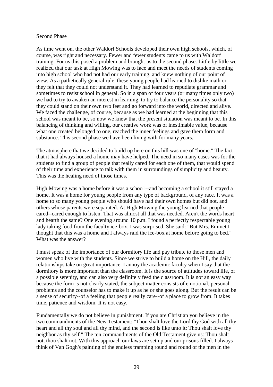# Second Phase

As time went on, the other Waldorf Schools developed their own high schools, which, of course, was right and necessary. Fewer and fewer students came to us with Waldorf training. For us this posed a problem and brought us to the second phase. Little by little we realized that our task at High Mowing was to face and meet the needs of students coming into high school who had not had our early training, and knew nothing of our point of view. As a pathetically general rule, these young people had learned to dislike math or they felt that they could not understand it. They had learned to repudiate grammar and sometimes to resist school in general. So in a span of four years (or many times only two) we had to try to awaken an interest in learning, to try to balance the personality so that they could stand on their own two feet and go forward into the world, directed and alive. We faced the challenge, of course, because as we had learned at the beginning that this school was meant to be, so now we knew that the present situation was meant to be. In this balancing of thinking and willing, our creative work was of inestimable value, because what one created belonged to one, reached the inner feelings and gave them form and substance. This second phase we have been living with for many years.

The atmosphere that we decided to build up here on this hill was one of "home." The fact that it had always housed a home may have helped. The need in so many cases was for the students to find a group of people that really cared for each one of them, that would spend of their time and experience to talk with them in surroundings of simplicity and beauty. This was the healing need of those times.

High Mowing was a home before it was a schoo1--and becoming a school it still stayed a home. It was a home for young people from any type of background, of any race. It was a home to so many young people who should have had their own homes but did not, and others whose parents were separated. At High Mowing the young learned that people cared--cared enough to listen. That was almost all that was needed. Aren't the words heart and hearth the same? One evening around 10 p.m. I found a perfectly respectable young lady taking food from the faculty ice-box. I was surprised. She said: "But Mrs. Emmet I thought that this was a home and I always raid the ice-box at home before going to bed." What was the answer?

I must speak of the importance of our dormitory life and pay tribute to those men and women who live with the students. Since we strive to build a home on the Hill, the daily relationships take on great importance. I annoy the academic faculty when I say that the dormitory is more important than the classroom. It is the source of attitudes toward life, of a possible serenity, and can also very definitely feed the classroom. It is not an easy way because the form is not clearly stated, the subject matter consists of emotional, personal problems and the counselor has to make it up as he or she goes along. But the result can be a sense of security--of a feeling that people really care--of a place to grow from. It takes time, patience and wisdom. It is not easy.

Fundamentally we do not believe in punishment. If you are Christian you believe in the two commandments of the New Testament: "Thou shalt love the Lord thy God with all thy heart and all thy soul and all thy mind, and the second is like unto it: Thou shalt love thy neighbor as thy self." The ten commandments of the Old Testament give us: Thou shalt not, thou shalt not. With this approach our laws are set up and our prisons filled. I always think of Van Gogh's painting of the endless tramping round and round of the men in the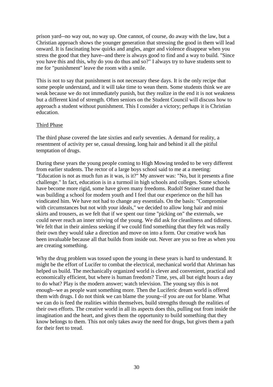prison yard--no way out, no way up. One cannot, of course, do away with the law, but a Christian approach shows the younger generation that stressing the good in them will lead onward. It is fascinating how quirks and angles, anger and violence disappear when you stress the good that they have--and there is always good to find and a way to build. "Since you have this and this, why do you do thus and so?" I always try to have students sent to me for "punishment" leave the room with a smile.

This is not to say that punishment is not necessary these days. It is the only recipe that some people understand, and it will take time to wean them. Some students think we are weak because we do not immediately punish, but they realize in the end it is not weakness but a different kind of strength. Often seniors on the Student Council will discuss how to approach a student without punishment. This I consider a victory; perhaps it is Christian education.

# Third Phase

The third phase covered the late sixties and early seventies. A demand for reality, a resentment of activity per se, casual dressing, long hair and behind it all the pitiful temptation of drugs.

During these years the young people coming to High Mowing tended to be very different from earlier students. The rector of a large boys school said to me at a meeting: "Education is not as much fun as it was, is it?" My answer was: "No, but it presents a fine challenge." In fact, education is in a turmoil in high schools and colleges. Some schools have become more rigid, some have given many freedoms. Rudolf Steiner stated that he was building a school for modern youth and I feel that our experience on the hill has vindicated him. We have not had to change any essentials. On the basis: "Compromise with circumstances but not with your ideals," we decided to allow long hair and mini skirts and trousers, as we felt that if we spent our time "picking on" the externals, we could never reach an inner striving of the young. We did ask for cleanliness and tidiness. We felt that in their aimless seeking if we could find something that they felt was really their own they would take a direction and move on into a form. Our creative work has been invaluable because all that builds from inside out. Never are you so free as when you are creating something.

Why the drug problem was tossed upon the young in these years is hard to understand. It might be the effort of Lucifer to combat the electrical, mechanical world that Ahriman has helped us build. The mechanically organized world is clever and convenient, practical and economically efficient, but where is human freedom? Time, yes, all but eight hours a day to do what? Play is the modern answer; watch television. The young say this is not enough--we as people want something more. Then the Luciferic dream world is offered them with drugs. I do not think we can blame the young--if you are out for blame. What we can do is feed the realities within themselves, build strengths through the realities of their own efforts. The creative world in all its aspects does this, pulling out from inside the imagination and the heart, and gives them the opportunity to build something that they know belongs to them. This not only takes away the need for drugs, but gives them a path for their feet to tread.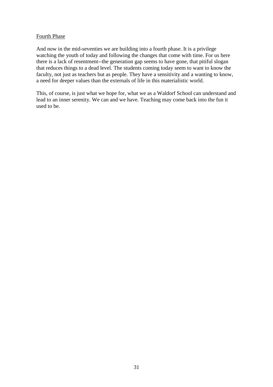# Fourth Phase

And now in the mid-seventies we are building into a fourth phase. It is a privilege watching the youth of today and following the changes that come with time. For us here there is a lack of resentment--the generation gap seems to have gone, that pitiful slogan that reduces things to a dead level. The students coming today seem to want to know the faculty, not just as teachers but as people. They have a sensitivity and a wanting to know, a need for deeper values than the externals of life in this materialistic world.

This, of course, is just what we hope for, what we as a Waldorf School can understand and lead to an inner serenity. We can and we have. Teaching may come back into the fun it used to be.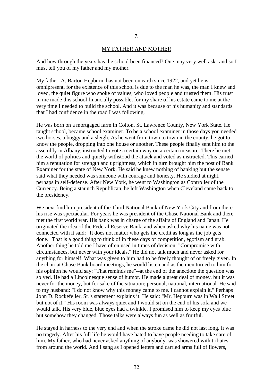#### MY FATHER AND MOTHER

And how through the years has the school been financed? One may very well ask--and so I must tell you of my father and my mother.

My father, A. Barton Hepburn, has not been on earth since 1922, and yet he is omnipresent, for the existence of this school is due to the man he was, the man I knew and loved, the quiet figure who spoke of values, who loved people and trusted them. His trust in me made this school financially possible, for my share of his estate came to me at the very time I needed to build the school. And it was because of his humanity and standards that I had confidence in the road I was following.

He was born on a mortgaged farm in Colton, St. Lawrence County, New York State. He taught school, became school examiner. To be a school examiner in those days you needed two horses, a buggy and a sleigh. As he went from town to town in the county, he got to know the people, dropping into one house or another. These people finally sent him to the assembly in Albany, instructed to vote a certain way on a certain measure. There he met the world of politics and quietly withstood the attack and voted as instructed. This earned him a reputation for strength and uprightness, which in turn brought him the post of Bank Examiner for the state of New York. He said he knew nothing of banking but the senate said what they needed was someone with courage and honesty. He studied at night, perhaps in self-defense. After New York, he went to Washington as Controller of the Currency. Being a staunch Republican, he left Washington when Cleveland came back to the presidency.

We next find him president of the Third National Bank of New York City and from there his rise was spectacular. For years he was president of the Chase National Bank and there met the first world war. His bank was in charge of the affairs of England and Japan. He originated the idea of the Federal Reserve Bank, and when asked why his name was not connected with it said: "It does not matter who gets the credit as long as the job gets done." That is a good thing to think of in these days of competition, egotism and grab. Another thing he told me I have often used in times of decision: "Compromise with circumstances, but never with your ideals." He did not talk much and never asked for anything for himself. What was given to him had to be freely thought of or freely given. In the chair at Chase Bank board meetings, he would listen and as the men turned to him for his opinion he would say: "That reminds me"--at the end of the anecdote the question was solved. He had a Lincolnesque sense of humor. He made a great deal of money, but it was never for the money, but for sake of the situation; personal, national, international. He said to my husband: "I do not know why this money came to me. I cannot explain it." Perhaps John D. Rockefeller, Sr.'s statement explains it. He said: "Mr. Hepburn was in Wall Street but not of it." His room was always quiet and I would sit on the end of his sofa and we would talk. His very blue, blue eyes had a twinkle. I promised him to keep my eyes blue but somehow they changed. Those talks were always fun as well as fruitful.

He stayed in harness to the very end and when the stroke came he did not last long. It was no tragedy. After his full life he would have hated to have people needing to take care of him. My father, who had never asked anything of anybody, was showered with tributes from around the world. And I sang as I opened letters and carried arms full of flowers,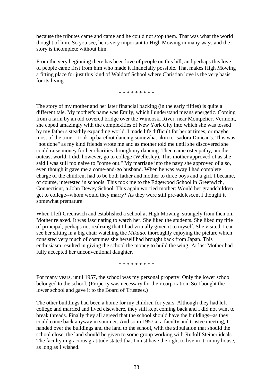because the tributes came and came and he could not stop them. That was what the world thought of him. So you see, he is very important to High Mowing in many ways and the story is incomplete without him.

From the very beginning there has been love of people on this hill, and perhaps this love of people came first from him who made it financially possible. That makes High Mowing a fitting place for just this kind of Waldorf School where Christian love is the very basis for its living.

\* \* \* \* \* \* \* \* \*

The story of my mother and her later financial backing (in the early fifties) is quite a different tale. My mother's name was Emily, which I understand means energetic. Coming from a farm by an old covered bridge over the Winooski River, near Montpelier, Vermont, she coped amazingly with the complexities of New York City into which she was tossed by my father's steadily expanding world. I made life difficult for her at times, or maybe most of the time. I took up barefoot dancing somewhat akin to Isadora Duncan's. This was "not done" as my kind friends wrote me and as mother told me until she discovered she could raise money for her charities through my dancing. Then came osteopathy, another outcast world. I did, however, go to college (Wellesley). This mother approved of as she said I was still too naive to "come out." My marriage into the navy she approved of also, even though it gave me a come-and-go husband. When he was away I had complete charge of the children, had to be both father and mother to three boys and a girl. I became, of course, interested in schools. This took me to the Edgewood School in Greenwich, Connecticut, a John Dewey School. This again worried mother: Would her grandchildren get to college--whom would they marry? As they were still pre-adolescent I thought it somewhat premature.

When I left Greenwich and established a school at High Mowing, strangely from then on, Mother relaxed. It was fascinating to watch her. She liked the students. She liked my title of principal, perhaps not realizing that I had virtually given it to myself. She visited. I can see her sitting in a big chair watching the *Mikado*, thoroughly enjoying the picture which consisted very much of costumes she herself had brought back from Japan. This enthusiasm resulted in giving the school the money to build the wing! At last Mother had fully accepted her unconventional daughter.

\* \* \* \* \* \* \* \* \*

For many years, until 1957, the school was my personal property. Only the lower school belonged to the school. (Property was necessary for their corporation. So I bought the lower school and gave it to the Board of Trustees.)

The other buildings had been a home for my children for years. Although they had left college and married and lived elsewhere, they still kept coming back and I did not want to break threads. Finally they all agreed that the school should have the buildings--as they could come back anyway in summer. And so in 1957 at a faculty and trustee meeting, I handed over the buildings and the land to the school, with the stipulation that should the school close, the land should be given to some group working with Rudolf Steiner ideals. The faculty in gracious gratitude stated that I must have the right to live in it, in my house, as long as I wished.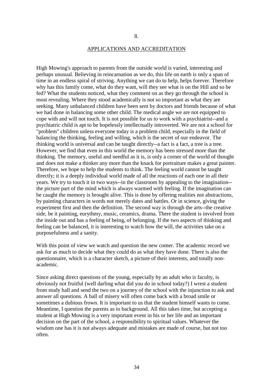#### APPLICATIONS AND ACCREDITATION

High Mowing's approach to parents from the outside world is varied, interesting and perhaps unusual. Believing in reincarnation as we do, this life on earth is only a span of time in an endless spiral of striving. Anything we can do to help, helps forever. Therefore why has this family come, what do they want, will they see what is on the Hill and so be fed? What the students noticed, what they comment on as they go through the school is most revealing. Where they stood academically is not so important as what they are seeking. Many unbalanced children have been sent by doctors and friends because of what we had done in balancing some other child. The medical angle we are not equipped to cope with and will not touch. It is not possible for us to work with a psychiatrist--and a psychiatric child is apt to be hopelessly intellectually introverted. We are not a school for "problem" children unless everyone today is a problem child, especially in the field of balancing the thinking, feeling and willing, which is the secret of our endeavor. The thinking world is universal and can be taught directly--a fact is a fact, a tree is a tree. However, we find that even in this world the memory has been stressed more than the thinking. The memory, useful and needful as it is, is only a corner of the world of thought and does not make a thinker any more than the knack for portraiture makes a great painter. Therefore, we hope to help the students to think. The feeling world cannot be taught directly; it is a deeply individual world made of all the reactions of each one in all their years. We try to touch it in two ways--in the classroom by appealing to the imagination- the picture part of the mind which is always warmed with feeling. If the imagination can be caught the memory is brought alive. This is done by offering realities not abstractions, by painting characters in words not merely dates and battles. Or in science, giving the experiment first and then the definition. The second way is through the arts--the creative side, be it painting, eurythmy, music, ceramics, drama. There the student is involved from the inside out and has a feeling of being, of belonging. If the two aspects of thinking and feeling can be balanced, it is interesting to watch how the will, the activities take on a purposefulness and a sanity.

With this point of view we watch and question the new comer. The academic record we ask for as much to decide what they could do as what they have done. There is also the questionnaire, which is a character sketch, a picture of their interests, and totally nonacademic.

Since asking direct questions of the young, especially by an adult who is faculty, is obviously not fruitful (well darling what did you do in school today?) I wrest a student from study hall and send the two on a journey of the school with the injunction to ask and answer all questions. A ball of misery will often come back with a broad smile or sometimes a dubious frown. It is important to us that the student himself wants to come. Meantime, I question the parents as to background. All this takes time, but accepting a student at High Mowing is a very important event in his or her life and an important decision on the part of the school, a responsibility to spiritual values. Whatever the wisdom one has it is not always adequate and mistakes are made of course, but not too often.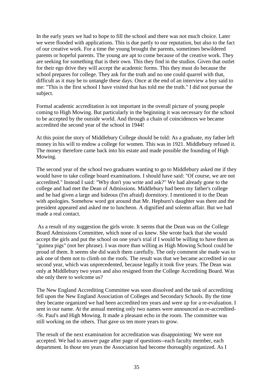In the early years we had to hope to fill the school and there was not much choice. Later we were flooded with applications. This is due partly to our reputation, but also to the fact of our creative work. For a time the young brought the parents, sometimes bewildered parents or hopeful parents. The young are apt to come because of the creative work. They are seeking for something that is their own. This they find in the studios. Given that outlet for their ego drive they will accept the academic forms. This they must do because the school prepares for college. They ask for the truth and no one could quarrel with that, difficult as it may be to untangle these days. Once at the end of an interview a boy said to me: "This is the first school I have visited that has told me the truth." I did not pursue the subject.

Formal academic accreditation is not important in the overall picture of young people coming to High Mowing. But particularly in the beginning it was necessary for the school to be accepted by the outside world. And through a chain of coincidences we became accredited the second year of the school in 1944!

At this point the story of Middlebury College should be told: As a graduate, my father left money in his will to endow a college for women. This was in 1921. Middlebury refused it. The money therefore came back into his estate and made possible the founding of High Mowing.

The second year of the school two graduates wanting to go to Middlebury asked me if they would have to take college board examinations. I should have said: "Of course, we are not accredited." Instead I said: "Why don't you write and ask?" We had already gone to the college and had met the Dean of Admissions. Middlebury had been my father's college and he had given a large and hideous (I'm afraid) dormitory. I mentioned it to the Dean with apologies. Somehow word got around that Mr. Hepburn's daughter was there and the president appeared and asked me to luncheon. A dignified and solemn affair. But we had made a real contact.

As a result of my suggestion the girls wrote. It seems that the Dean was on the College Board Admissions Committee, which none of us knew. She wrote back that she would accept the girls and put the school on one year's trial if I would be willing to have them as "guinea pigs" (not her phrase). I was more than willing as High Mowing School could be proud of them. It seems she did watch them carefully. The only comment she made was to ask one of them not to climb on the roofs. The result was that we became accredited in our second year, which was unprecedented, because legally it took five years. The Dean was only at Middlebury two years and also resigned from the College Accrediting Board. Was she only there to welcome us?

The New England Accrediting Committee was soon dissolved and the task of accrediting fell upon the New England Association of Colleges and Secondary Schools. By the time they became organized we had been accredited ten years and were up for a re-evaluation. I sent in our name. At the annual meeting only two names were announced as re-accredited- -St. Paul's and High Mowing. It made a pleasant echo in the room. The committee was still working on the others. That gave us ten more years to grow.

The result of the next examination for accreditation was disappointing: We were not accepted. We had to answer page after page of questions--each faculty member, each department. In those ten years the Association had become thoroughly organized. As I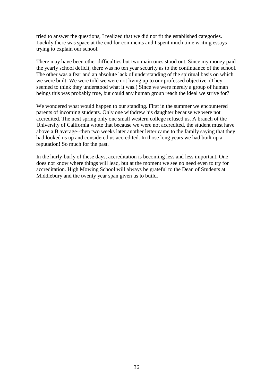tried to answer the questions, I realized that we did not fit the established categories. Luckily there was space at the end for comments and I spent much time writing essays trying to explain our school.

There may have been other difficulties but two main ones stood out. Since my money paid the yearly school deficit, there was no ten year security as to the continuance of the school. The other was a fear and an absolute lack of understanding of the spiritual basis on which we were built. We were told we were not living up to our professed objective. (They seemed to think they understood what it was.) Since we were merely a group of human beings this was probably true, but could any human group reach the ideal we strive for?

We wondered what would happen to our standing. First in the summer we encountered parents of incoming students. Only one withdrew his daughter because we were not accredited. The next spring only one small western college refused us. A branch of the University of California wrote that because we were not accredited, the student must have above a B average--then two weeks later another letter came to the family saying that they had looked us up and considered us accredited. In those long years we had built up a reputation! So much for the past.

In the hurly-burly of these days, accreditation is becoming less and less important. One does not know where things will lead, but at the moment we see no need even to try for accreditation. High Mowing School will always be grateful to the Dean of Students at Middlebury and the twenty year span given us to build.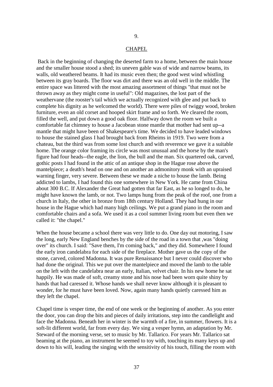# 9.

#### **CHAPEL**

Back in the beginning of changing the deserted farm to a home, between the main house and the smaller house stood a shed; its uneven gable was of wide and narrow beams, its walls, old weathered beams. It had its music even then; the good west wind whistling between its gray boards. The floor was dirt and there was an old well in the middle. The entire space was littered with the most amazing assortment of things "that must not be thrown away as they might come in useful": Old magazines, the lost part of the weathervane (the rooster's tail which we actually recognized with glee and put back to complete his dignity as he welcomed the world). There were piles of twiggy wood, broken furniture, even an old corset and hooped skirt frame and so forth. We cleared the room, filled the well, and put down a good oak floor. Halfway down the room we built a comfortable fat chimney to house a Jacobean stone mantle that mother had sent up--a mantle that might have been of Shakespeare's time. We decided to have leaded windows to house the stained glass I had brought back from Rheims in 1919. Two were from a chateau, but the third was from some lost church and with reverence we gave it a suitable home. The orange color framing its circle was most unusual and the horse by the man's figure had four heads--the eagle, the lion, the bull and the man. Six quartered oak, carved, gothic posts I had found in the attic of an antique shop in the Hague rose above the mantelpiece; a death's head on one and on another an admonitory monk with an upraised warning finger, very severe. Between these we made a niche to house the lamb. Being addicted to lambs, I had found this one somewhere in New York. He came from China about 300 B.C. If Alexander the Great had gotten that far East, as he so longed to do, he might have known the lamb, or not. Two lamps hung from the peak of the roof, one from a church in Italy, the other in bronze from 18th century Holland. They had hung in our house in the Hague which had many high ceilings. We put a grand piano in the room and comfortable chairs and a sofa. We used it as a cool summer living room but even then we called it: "the chapel."

When the house became a school there was very little to do. One day out motoring, I saw the long, early New England benches by the side of the road in a town that ,was "doing over" its church. I said: "Save them, I'm coming back," and they did. Somewhere I found the early iron candelabra for each side of the fireplace. Mother gave us the copy of the stone, carved, colored Madonna. It was pure Renaissance but I never could discover who had done the original. This we put over the mantelpiece and moved the lamb to the table on the left with the candelabra near an early, Italian, velvet chair. In his new home he sat happily. He was made of soft, creamy stone and his nose had been worn quite shiny by hands that had caressed it. Whose hands we shall never know although it is pleasant to wonder, for he must have been loved. Now, again many hands quietly caressed him as they left the chapel.

Chapel time is vesper time, the end of one week or the beginning of another. As you enter the door, you can drop the bits and pieces of daily irritations, step into the candlelight and face the Madonna. Beneath her in winter is the warmth of a fire, in summer, flowers. It is a soft-lit different world, far from every day. We sing a vesper hymn, an adaptation by Mr. Steward of the morning verse, set to music by Mr. Tallarico. For years Mr. Tallarico sat beaming at the piano, an instrument he seemed to toy with, touching its many keys up and down to his will, leading the singing with the sensitivity of his touch, filling the room with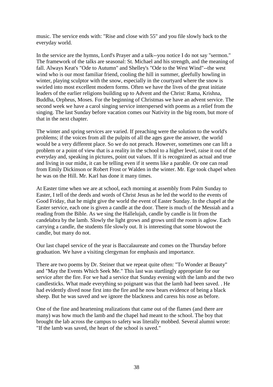music. The service ends with: "Rise and close with 55" and you file slowly back to the everyday world.

In the service are the hymns, Lord's Prayer and a talk--you notice I do not say "sermon." The framework of the talks are seasonal: St. Michael and his strength, and the meaning of fall. Always Keat's "Ode to Autumn" and Shelley's "Ode to the West Wind"--the west wind who is our most familiar friend, cooling the hill in summer, gleefully howling in winter, playing sculptor with the snow, especially in the courtyard where the snow is swirled into most excellent modern forms. Often we have the lives of the great initiate leaders of the earlier religions building up to Advent and the Christ: Rama, Krishna, Buddha, Orpheus, Moses. For the beginning of Christmas we have an advent service. The second week we have a carol singing service interspersed with poems as a relief from the singing. The last Sunday before vacation comes our Nativity in the big room, but more of that in the next chapter.

The winter and spring services are varied. If preaching were the solution to the world's problems; if the voices from all the pulpits of all the ages gave the answer, the world would be a very different place. So we do not preach. However, sometimes one can lift a problem or a point of view that is a reality in the school to a higher level, raise it out of the everyday and, speaking in pictures, point out values. If it is recognized as actual and true and living in our midst, it can be telling even if it seems like a parable. Or one can read from Emily Dickinson or Robert Frost or Walden in the winter. Mr. Ege took chapel when he was on the Hill. Mr. Karl has done it many times.

At Easter time when we are at school, each morning at assembly from Palm Sunday to Easter, I tell of the deeds and words of Christ Jesus as he led the world to the events of Good Friday, that he might give the world the event of Easter Sunday. In the chapel at the Easter service, each one is given a candle at the door. There is much of the Messiah and a reading from the Bible. As we sing the Hallelujah, candle by candle is lit from the candelabra by the lamb. Slowly the light grows and grows until the room is aglow. Each carrying a candle, the students file slowly out. It is interesting that some blowout the candle, but many do not.

Our last chapel service of the year is Baccalaureate and comes on the Thursday before graduation. We have a visiting clergyman for emphasis and importance.

There are two poems by Dr. Steiner that we repeat quite often: "To Wonder at Beauty" and "May the Events Which Seek Me." This last was startlingly appropriate for our service after the fire. For we had a service that Sunday evening with the lamb and the two candlesticks. What made everything so poignant was that the lamb had been saved. . He had evidently dived nose first into the fire and he now bears evidence of being a black sheep. But he was saved and we ignore the blackness and caress his nose as before.

One of the fine and heartening realizations that came out of the flames (and there are many) was how much the lamb and the chapel had meant to the school. The boy that brought the lab across the campus to safety was literally mobbed. Several alumni wrote: "If the lamb was saved, the heart of the school is saved."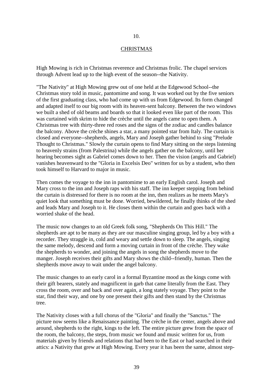# 10.

#### CHRISTMAS

High Mowing is rich in Christmas reverence and Christmas frolic. The chapel services through Advent lead up to the high event of the season--the Nativity.

"The Nativity" at High Mowing grew out of one held at the Edgewood School--the Christmas story told in music, pantomime and song. It was worked out by the five seniors of the first graduating class, who had come up with us from Edgewood. Its form changed and adapted itself to our big room with its heaven-sent balcony. Between the two windows we built a shed of old beams and boards so that it looked even like part of the room. This was curtained with skrim to hide the crèche until the angels came to open them. A Christmas tree with thirty-three red roses and the signs of the zodiac and candles balance the balcony. Above the crèche shines a star, a many pointed star from Italy. The curtain is closed and everyone--shepherds, angels, Mary and Joseph gather behind to sing "Prelude Thought to Christmas." Slowly the curtain opens to find Mary sitting on the steps listening to heavenly strains (from Palestrina) while the angels gather on the balcony, until her hearing becomes sight as Gabriel comes down to her. Then the vision (angels and Gabriel) vanishes heavenward to the "Gloria in Excelsis Deo" written for us by a student, who then took himself to Harvard to major in music.

Then comes the voyage to the inn in pantomime to an early English carol. Joseph and Mary cross to the inn and Joseph raps with his staff. The inn keeper stepping from behind the curtain is distressed for there is no room at the inn, then realizes as he meets Mary's quiet look that something must be done. Worried, bewildered, he finally thinks of the shed and leads Mary and Joseph to it. He closes them within the curtain and goes back with a worried shake of the head.

The music now changes to an old Greek folk song, "Shepherds On This Hill." The shepherds are apt to be many as they are our masculine singing group, led by a boy with a recorder. They straggle in, cold and weary and settle down to sleep. The angels, singing the same melody, descend and form a moving curtain in front of the crèche. They wake the shepherds to wonder, and joining the angels in song the shepherds move to the manger. Joseph receives their gifts and Mary shows the child--friendly, human. Then the shepherds move away to wait under the angel balcony.

The music changes to an early carol in a formal Byzantine mood as the kings come with their gift bearers, stately and magnificent in garb that came literally from the East. They cross the room, over and back and over again, a long stately voyage. They point to the star, find their way, and one by one present their gifts and then stand by the Christmas tree.

The Nativity closes with a full chorus of the "Gloria" and finally the "Sanctus." The picture now seems like a Renaissance painting. The crèche in the center, angels above and around, shepherds to the right, kings to the left. The entire picture grew from the space of the room, the balcony, the steps, from music we found and music written for us, from materials given by friends and relations that had been to the East or had searched in their attics: a Nativity that grew at High Mowing. Every year it has been the same, almost step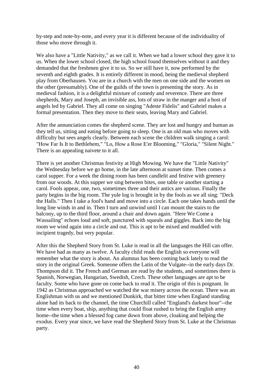by-step and note-by-note, and every year it is different because of the individuality of those who move through it.

We also have a "Little Nativity," as we call it. When we had a lower school they gave it to us. When the lower school closed, the high school found themselves without it and they demanded that the freshmen give it to us. So we still have it, now performed by the seventh and eighth grades. It is entirely different in mood, being the medieval shepherd play from Oberhausen. You are in a church with the men on one side and the women on the other (presumably). One of the guilds of the town is presenting the story. As in medieval fashion, it is a delightful mixture of comedy and reverence. There are three shepherds, Mary and Joseph, an invisible ass, lots of straw in the manger and a host of angels led by Gabriel. They all come on singing "Adeste Fidelis" and Gabriel makes a formal presentation. Then they move to their seats, leaving Mary and Gabriel.

After the annunciation comes the shepherd scene. They are lost and hungry and human as they tell us, sitting and eating before going to sleep. One is an old man who moves with difficulty but sees angels clearly. Between each scene the children walk singing a carol: "How Far Is It to Bethlehem," "Lo, How a Rose E'er Blooming," "Gloria," "Silent Night." There is an appealing naivete to it all.

There is yet another Christmas festivity at High Mowing. We have the "Little Nativity" the Wednesday before we go home, in the late afternoon at sunset time. Then comes a carol supper. For a week the dining room has been candlelit and festive with greenery from our woods. At this supper we sing between bites, one table or another starting a carol. Fools appear, one, two, sometimes three and their antics are various. Finally the party begins in the big room. The yule log is brought in by the fools as we all sing: "Deck the Halls." Then I take a fool's hand and move into a circle. Each one takes hands until the long line winds in and in. Then I turn and unwind until I can mount the stairs to the balcony, up to the third floor, around a chair and down again. "Here We Come a Wassailing" echoes loud and soft, punctured with squeals and giggles. Back into the big room we wind again into a circle and out. This is apt to be mixed and muddled with incipient tragedy, but very popular.

After this the Shepherd Story from St. Luke is read in all the languages the Hill can offer. We have had as many as twelve. A faculty child reads the English so everyone will remember what the story is about. An alumnus has been coming back lately to read the story in the original Greek. Someone offers the Latin of the Vulgate--in the early days Dr. Thompson did it. The French and German are read by the students, and sometimes there is Spanish, Norwegian, Hungarian, Swedish, Czech. These other languages are apt to be faculty. Some who have gone on come back to read it. The origin of this is poignant. In 1942 as Christmas approached we watched the war misery across the ocean. There was an Englishman with us and we mentioned Dunkirk, that bitter time when England standing alone had its back to the channel, the time Churchill called "England's darkest hour"--the time when every boat, ship, anything that could float rushed to bring the English army home--the time when a blessed fog came down from above, cloaking and helping the exodus. Every year since, we have read the Shepherd Story from St. Luke at the Christmas party.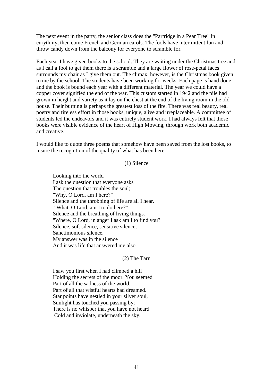The next event in the party, the senior class does the "Partridge in a Pear Tree" in eurythmy, then come French and German carols. The fools have intermittent fun and throw candy down from the balcony for everyone to scramble for.

Each year I have given books to the school. They are waiting under the Christmas tree and as I call a fool to get them there is a scramble and a large flower of rose-petal faces surrounds my chair as I give them out. The climax, however, is the Christmas book given to me by the school. The students have been working for weeks. Each page is hand done and the book is bound each year with a different material. The year we could have a copper cover signified the end of the war. This custom started in 1942 and the pile had grown in height and variety as it lay on the chest at the end of the living room in the old house. Their burning is perhaps the greatest loss of the fire. There was real beauty, real poetry and tireless effort in those books, unique, alive and irreplaceable. A committee of students led the endeavors and it was entirely student work. I had always felt that those books were visible evidence of the heart of High Mowing, through work both academic and creative.

I would like to quote three poems that somehow have been saved from the lost books, to insure the recognition of the quality of what has been here.

# (1) Silence

Looking into the world I ask the question that everyone asks The question that troubles the soul; "Why, O Lord, am I here?" Silence and the throbbing of life are all I hear. "What, O Lord, am I to do here?" Silence and the breathing of living things. "Where, O Lord, in anger I ask am I to find you?" Silence, soft silence, sensitive silence, Sanctimonious silence. My answer was in the silence And it was life that answered me also.

(2) The Tarn

I saw you first when I had climbed a hill Holding the secrets of the moor. You seemed Part of all the sadness of the world, Part of all that wistful hearts had dreamed. Star points have nestled in your silver soul, Sunlight has touched you passing by; There is no whisper that you have not heard Cold and inviolate, underneath the sky.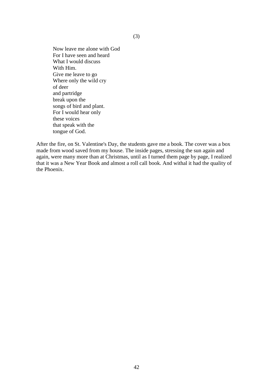Now leave me alone with God For I have seen and heard What I would discuss With Him. Give me leave to go Where only the wild cry of deer and partridge break upon the songs of bird and plant. For I would hear only these voices that speak with the tongue of God.

After the fire, on St. Valentine's Day, the students gave me a book. The cover was a box made from wood saved from my house. The inside pages, stressing the sun again and again, were many more than at Christmas, until as I turned them page by page, I realized that it was a New Year Book and almost a roll call book. And withal it had the quality of the Phoenix.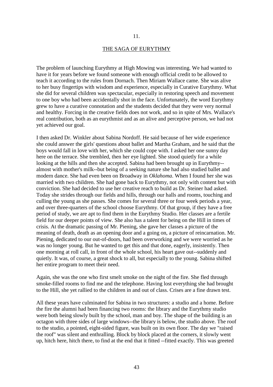#### THE SAGA OF EURYTHMY

The problem of launching Eurythmy at High Mowing was interesting. We had wanted to have it for years before we found someone with enough official credit to be allowed to teach it according to the rules from Dornach. Then Miriam Wallace came. She was alive to her busy fingertips with wisdom and experience, especially in Curative Eurythmy. What she did for several children was spectacular, especially in restoring speech and movement to one boy who had been accidentally shot in the face. Unfortunately, the word Eurythmy grew to have a curative connotation and the students decided that they were very normal and healthy. Forcing in the creative fields does not work, and so in spite of Mrs. Wallace's real contribution, both as an eurythmist and as an alive and perceptive person, we had not yet achieved our goal.

I then asked Dr. Winkler about Sabina Nordoff. He said because of her wide experience she could answer the girls' questions about ballet and Martha Graham, and he said that the boys would fall in love with her, which she could cope with. I asked her one sunny day here on the terrace. She trembled, then her eye lighted. She stood quietly for a while looking at the hills and then she accepted. Sabina had been brought up in Eurythmy- almost with mother's milk--but being of a seeking nature she had also studied ballet and modern dance. She had even been on Broadway in *Oklahoma*. When I found her she was married with two children. She had gone back to Eurythmy, not only with content but with conviction. She had decided to use her creative reach to build as Dr. Steiner had asked. Today she strides through our fields and hills, through our halls and rooms, touching and culling the young as she passes. She comes for several three or four week periods a year, and over three-quarters of the school choose Eurythmy. Of that group, if they have a free period of study, we are apt to find them in the Eurythmy Studio. Her classes are a fertile field for our deeper points of view. She also has a talent for being on the Hill in times of crisis. At the dramatic passing of Mr. Piening, she gave her classes a picture of the meaning of death, death as an opening door and a going on, a picture of reincarnation. Mr. Piening, dedicated to our out-of-doors, had been overworking and we were worried as he was no longer young. But he wanted to get this and that done, eagerly, insistently. Then one morning at roll call, in front of the whole school, his heart gave out--suddenly and quietly. It was, of course, a great shock to all, but especially to the young. Sabina shifted her entire program to meet their need.

Again, she was the one who first smelt smoke on the night of the fire. She fled through smoke-filled rooms to find me and the telephone. Having lost everything she had brought to the Hill, she yet rallied to the children in and out of class. Crises are a fine drawn test.

All these years have culminated for Sabina in two structures: a studio and a home. Before the fire the alumni had been financing two rooms: the library and the Eurythmy studio were both being slowly built by the school, man and boy. The shape of the building is an octagon with three sides of large windows--the library is below, the studio above. The roof to the studio, a pointed, eight-sided figure, was built on its own floor. The day we "raised the roof" was silent and enthralling. Block by block placed at the corners, it slowly went up, hitch here, hitch there, to find at the end that it fitted --fitted exactly. This was greeted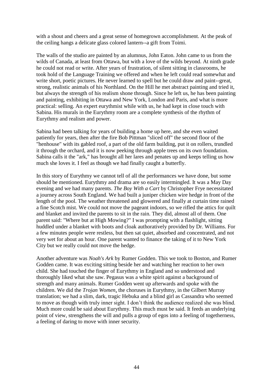with a shout and cheers and a great sense of homegrown accomplishment. At the peak of the ceiling hangs a delicate glass colored lantern--a gift from Toimi.

The walls of the studio are painted by an alumnus, John Eaton. John came to us from the wilds of Canada, at least from Ottawa, but with a love of the wilds beyond. At ninth grade he could not read or write. After years of frustration, of silent sitting in classrooms, he took hold of the Language Training we offered and when he left could read somewhat and write short, poetic pictures. He never learned to spell but he could draw and paint--great, strong, realistic animals of his Northland. On the Hill he met abstract painting and tried it, but always the strength of his realism shone through. Since he left us, he has been painting and painting, exhibiting in Ottawa and New York, London and Paris, and what is more practical: selling. An expert eurythmist while with us, he had kept in close touch with Sabina. His murals in the Eurythmy room are a complete synthesis of the rhythm of Eurythmy and realism and power.

Sabina had been talking for years of building a home up here, and she even waited patiently for years, then after the fire Bob Pittman "sliced off" the second floor of the "henhouse" with its gabled roof, a part of the old farm building, put it on rollers, trundled it through the orchard, and it is now peeking through apple trees on its own foundation. Sabina calls it the "ark," has brought all her lares and penates up and keeps telling us how much she loves it. I feel as though we had finally caught a butterfly.

In this story of Eurythmy we cannot tell of all the performances we have done, but some should be mentioned. Eurythmy and drama are so easily intermingled. It was a May Day evening and we had many parents. *The Boy With a Cart* by Christopher Frye necessitated a journey across South England. We had built a juniper chicken wire hedge in front of the length of the pool. The weather threatened and glowered and finally at curtain time rained a fine Scotch mist. We could not move the pageant indoors, so we rifled the attics for quilt and blanket and invited the parents to sit in the rain. They did, almost all of them. One parent said: "Where but at High Mowing?" I was prompting with a flashlight, sitting huddled under a blanket with boots and cloak authoratively provided by Dr. Williams. For a few minutes people were restless, but then sat quiet, absorbed and concentrated, and not very wet for about an hour. One parent wanted to finance the taking of it to New York City but we really could not move the hedge.

Another adventure was *Noah's Ark* by Rumer Godden. This we took to Boston, and Rumer Godden came. It was exciting sitting beside her and watching her reaction to her own child. She had touched the finger of Eurythmy in England and so understood and thoroughly liked what she saw. Pegasus was a white spirit against a background of strength and many animals. Rumer Godden went up afterwards and spoke with the children. We did the *Trojan Women*, the choruses in Eurythmy, in the Gilbert Murray translation; we had a slim, dark, tragic Hebuka and a blind girl as Cassandra who seemed to move as though with truly inner sight. I don't think the audience realized she was blind. Much more could be said about Eurythmy. This much must be said. It feeds an underlying point of view, strengthens the will and pulls a group of egos into a feeling of togetherness, a feeling of daring to move with inner security.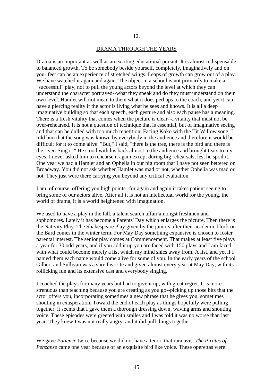#### DRAMA THROUGH THE YEARS

Drama is an important as well as an exciting educational pursuit. It is almost indispensable to balanced growth. To be somebody beside yourself, completely, imaginatively and on your feet can be an experience of stretched wings. Leaps of growth can grow out of a play. We have watched it again and again. The object in a school is not primarily to make a "successful" play, not to pull the young actors beyond the level at which they can understand the character portrayed--what they speak and do they must understand on their own level. Hamlet will not mean to them what it does perhaps to the coach, and yet it can have a piercing reality if the actor is living what he sees and knows. It is all a deep imaginative building so that each speech, each gesture and also each pause has a meaning. There is a fresh vitality that comes when the picture is clear--a vitality that must not be over-rehearsed. It is not a question of technique that is essential, but of imaginative seeing and that can be dulled with too much repetition. Facing Koko with the Tit Willow song, I told him that the song was known by everybody in the audience and therefore it would be difficult for it to come alive. "But," I said, "there is the tree, there is the bird and there is the river. Sing it!" He stood with his back almost to the audience and brought tears to my eyes. I never asked him to rehearse it again except during big rehearsals, lest he spoil it. One year we had a Hamlet and an Ophelia in our big room that I have not seen bettered on Broadway. You did not ask whether Hamlet was mad or not, whether Ophelia was mad or not. They just were there carrying you beyond any critical evaluation.

I am, of course, offering you high points--for again and again it takes patient seeing to bring some of our actors alive. After all it is not an intellectual world for the young, the world of drama, it is a world heightened with imagination.

We used to have a play in the fall, a talent search affair amongst freshmen and sophomores. Lately it has become a Parents' Day which enlarges the picture. Then there is the Nativity Play. The Shakespeare Play given by the juniors after their academic block on the Bard comes in the winter term. For May Day something expansive is chosen to foster parental interest. The senior play comes at Commencement. That makes at least five plays a year for 30 odd years, and if you add it up you are faced with 150 plays and I am faced with what could become merely a list which my mind shies away from. A list, and yet if I named them each name would come alive for some of you. In the early years of the school Gilbert and Sullivan was a sure favorite and given almost every year at May Day, with its rollicking fun and its extensive cast and everybody singing.

I coached the plays for many years but had to give it up, with great regret. It is more strenuous than teaching because you are creating as you go--picking up those bits that the actor offers you, incorporating sometimes a new phrase that he gives you, sometimes shouting in exasperation. Toward the end of each play as things hopefully were pulling together, it seems that I gave them a thorough dressing down, waving arms and shouting voice. These episodes were greeted with smiles and I was told it was no worse than last year. They knew I was not really angry, and it did pull things together.

We gave *Patience* twice because we did not have a tenor, that rara avis. *The Pirates of Penzanze* came one year because of an exquisite bird like voice. These operettas were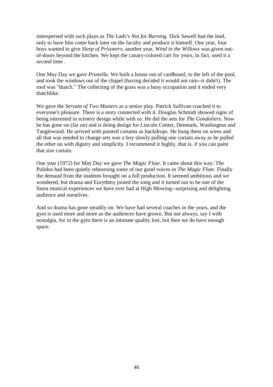interspersed with such plays as *The Ladv's Not for Burning.* Dick Sewell had the lead, only to have him come back later on the faculty and produce it himself. One year, four boys wanted to give *Sleep of Prisoners*; another year, *Wind in the Willows* was given outof-doors beyond the kitchen. We kept the canary-colored cart for years, in fact, used it a second time .

One May Day we gave *Prunella*. We built a house out of cardboard, to the left of the pool, and took the windows out of the chapel (having decided it would not rain--it didn't). The roof was "thatch." The collecting of the grass was a busy occupation and it ended very thatchlike.

We gave the *Servant of Two Masters* as a senior play. Patrick Sullivan coached it to everyone's pleasure. There is a story connected with it. Douglas Schmidt showed signs of being interested in scenery design while with us. He did the sets for *The Gondoliers*. Now he has gone on (far on) and is doing design for Lincoln Center, Denmark, Washington and Tanglewood. He arrived with painted curtains as backdrops. He hung them on wires and all that was needed to change sets was a boy slowly pulling one curtain away as he pulled the other on with dignity and simplicity. I recommend it highly, that is, if you can paint that size curtain.

One year (1972) for May Day we gave *The Magic Flute*. It came about this way: The Pulidos had been quietly rehearsing some of our good voices in *The Magic Flute.* Finally the demand from the students brought on a full production. It seemed ambitious and we wondered, but drama and Eurythmy joined the song and it turned out to be one of the finest musical experiences we have ever had at High Mowing--surprising and delighting audience and ourselves.

And so drama has gone steadily on. We have had several coaches in the years, and the gym is used more and more as the audiences have grown. But not always, say I with nostalgia, for in the gym there is an intimate quality lost, but then we do have enough space.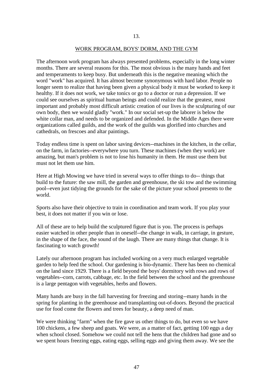#### WORK PROGRAM, BOYS' DORM, AND THE GYM

The afternoon work program has always presented problems, especially in the long winter months. There are several reasons for this. The most obvious is the many hands and feet and temperaments to keep busy. But underneath this is the negative meaning which the word "work" has acquired. It has almost become synonymous with hard labor. People no longer seem to realize that having been given a physical body it must be worked to keep it healthy. If it does not work, we take tonics or go to a doctor or run a depression. If we could see ourselves as spiritual human beings and could realize that the greatest, most important and probably most difficult artistic creation of our lives is the sculpturing of our own body, then we would gladly "work." In our social set-up the laborer is below the white collar man, and needs to be organized and defended. In the Middle Ages there were organizations called guilds, and the work of the guilds was glorified into churches and cathedrals, on frescoes and altar paintings.

Today endless time is spent on labor saving devices--machines in the kitchen, in the cellar, on the farm, in factories--everywhere you turn. These machines (when they work) are amazing, but man's problem is not to lose his humanity in them. He must use them but must not let them use him.

Here at High Mowing we have tried in several ways to offer things to do-- things that build to the future: the saw mill, the garden and greenhouse, the ski tow and the swimming pool--even just tidying the grounds for the sake of the picture your school presents to the world.

Sports also have their objective to train in coordination and team work. If you play your best, it does not matter if you win or lose.

All of these are to help build the sculptured figure that is you. The process is perhaps easier watched in other people than in oneself--the change in walk, in carriage, in gesture, in the shape of the face, the sound of the laugh. There are many things that change. It is fascinating to watch growth!

Lately our afternoon program has included working on a very much enlarged vegetable garden to help feed the school. Our gardening is bio-dynamic. There has been no chemical on the land since 1929. There is a field beyond the boys' dormitory with rows and rows of vegetables--corn, carrots, cabbage, etc. In the field between the school and the greenhouse is a large pentagon with vegetables, herbs and flowers.

Many hands are busy in the fall harvesting for freezing and storing--many hands in the spring for planting in the greenhouse and transplanting out-of-doors. Beyond the practical use for food come the flowers and trees for beauty, a deep need of man.

We were thinking "farm" when the fire gave us other things to do, but even so we have 100 chickens, a few sheep and goats. We were, as a matter of fact, getting 100 eggs a day when school closed. Somehow we could not tell the hens that the children had gone and so we spent hours freezing eggs, eating eggs, selling eggs and giving them away. We see the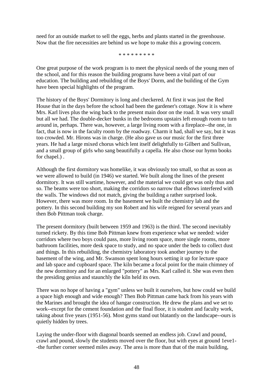need for an outside market to sell the eggs, herbs and plants started in the greenhouse. Now that the fire necessities are behind us we hope to make this a growing concern.

\* \* \* \* \* \* \* \* \*

One great purpose of the work program is to meet the physical needs of the young men of the school, and for this reason the building programs have been a vital part of our education. The building and rebuilding of the Boys' Dorm, and the building of the Gym have been special highlights of the program.

The history of the Boys' Dormitory is long and checkered. At first it was just the Red House that in the days before the school had been the gardener's cottage. Now it is where Mrs. Karl lives plus the wing back to the present main door on the road. It was very small but all we had. The double-decker bunks in the bedrooms upstairs left enough room to turn around in, perhaps. There was, however, a large living room with a fireplace--the one, in fact, that is now in the faculty room by the roadway. Charm it had, shall we say, but it was too crowded. Mr. Hirons was in charge. (He also gave us our music for the first three years. He had a large mixed chorus which lent itself delightfully to Gilbert and Sullivan, and a small group of girls who sang beautifully a capella. He also chose our hymn books for chapel.) .

Although the first dormitory was homelike, it was obviously too small, so that as soon as we were allowed to build (in 1946) we started. We built along the lines of the present dormitory. It was still wartime, however, and the material we could get was only thus and so. The beams were too short, making the corridors so narrow that elbows interfered with the walls. The windows did not match, giving the building a rather surprised look. However, there was more room. In the basement we built the chemistry lab and the pottery. In this second building my son Robert and his wife reigned for several years and then Bob Pittman took charge.

The present dormitory (built between 1959 and 1963) is the third. The second inevitably turned rickety. By this time Bob Pittman knew from experience what we needed: wider corridors where two boys could pass, more living room space, more single rooms, more bathroom facilities, more desk space to study, and no space under the beds to collect dust and things. In this rebuilding, the chemistry laboratory took another journey to the basement of the wing, and Mr. Swanson spent long hours setting it up for lecture space and lab space and cupboard space. The kiln became a focal point for the main chimney of the new dormitory and for an enlarged "pottery" as Mrs. Karl called it. She was even then the presiding genius and staunchly the kiln held its own.

There was no hope of having a "gym" unless we built it ourselves, but how could we build a space high enough and wide enough? Then Bob Pittman came back from his years with the Marines and brought the idea of hangar construction. He drew the plans and we set to work--except for the cement foundation and the final floor, it is student and faculty work, taking about five years (1951-56). Most gyms stand out blatantly on the landscape--ours is quietly hidden by trees.

Laying the under-floor with diagonal boards seemed an endless job. Crawl and pound, crawl and pound, slowly the students moved over the floor, but with eyes at ground 1eve1- -the further corner seemed miles away. The area is more than that of the main building,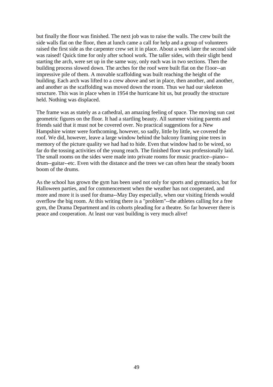but finally the floor was finished. The next job was to raise the walls. The crew built the side walls flat on the floor, then at lunch came a call for help and a group of volunteers raised the first side as the carpenter crew set it in place. About a week later the second side was raised! Quick time for only after school work. The taller sides, with their slight bend starting the arch, were set up in the same way, only each was in two sections. Then the building process slowed down. The arches for the roof were built flat on the f1oor--an impressive pile of them. A movable scaffolding was built reaching the height of the building. Each arch was lifted to a crew above and set in place, then another, and another, and another as the scaffolding was moved down the room. Thus we had our skeleton structure. This was in place when in 1954 the hurricane hit us, but proudly the structure held. Nothing was displaced.

The frame was as stately as a cathedral, an amazing feeling of space. The moving sun cast geometric figures on the floor. It had a startling beauty. All summer visiting parents and friends said that it must not be covered over. No practical suggestions for a New Hampshire winter were forthcoming, however, so sadly, little by little, we covered the roof. We did, however, leave a large window behind the balcony framing pine trees in memory of the picture quality we had had to hide. Even that window had to be wired, so far do the tossing activities of the young reach. The finished floor was professionally laid. The small rooms on the sides were made into private rooms for music practice--piano- drum--guitar--etc. Even with the distance and the trees we can often hear the steady boom boom of the drums.

As the school has grown the gym has been used not only for sports and gymnastics, but for Halloween parties, and for commencement when the weather has not cooperated, and more and more it is used for drama--May Day especially, when our visiting friends would overflow the big room. At this writing there is a "problem"--the athletes calling for a free gym, the Drama Department and its cohorts pleading for a theatre. So far however there is peace and cooperation. At least our vast building is very much alive!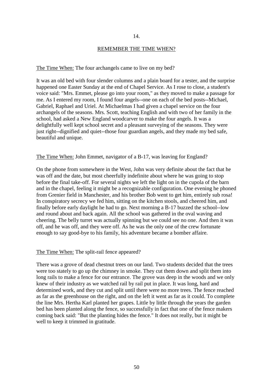#### 14.

#### REMEMBER THE TIME WHEN?

# The Time When: The four archangels came to live on my bed?

It was an old bed with four slender columns and a plain board for a tester, and the surprise happened one Easter Sunday at the end of Chapel Service. As I rose to close, a student's voice said: "Mrs. Emmet, please go into your room," as they moved to make a passage for me. As I entered my room, I found four angels--one on each of the bed posts--Michael, Gabriel, Raphael and Uriel. At Michaelmas I had given a chapel service on the four archangels of the seasons. Mrs. Scott, teaching English and with two of her family in the school, had asked a New England woodcarver to make the four angels. It was a delightfully well kept school secret and a pleasant surveying of the seasons. They were just right--dignified and quiet--those four guardian angels, and they made my bed safe, beautiful and unique.

# The Time When: John Emmet, navigator of a B-17, was leaving for England?

On the phone from somewhere in the West, John was very definite about the fact that he was off and the date, but most cheerfully indefinite about where he was going to stop before the final take-off. For several nights we left the light on in the cupola of the barn and in the chapel, feeling it might be a recognizable configuration. One evening he phoned from Grenier field in Manchester, and his brother Bob went to get him, entirely sub rosa! In conspiratory secrecy we fed him, sitting on the kitchen stools, and cheered him, and finally before early daylight he had to go. Next morning a B-17 buzzed the school--low and round about and back again. All the school was gathered in the oval waving and cheering. The belly turret was actually spinning but we could see no one. And then it was off, and he was off, and they were off. As he was the only one of the crew fortunate enough to say good-bye to his family, his adventure became a bomber affaire.

#### The Time When: The split-rail fence appeared?

There was a grove of dead chestnut trees on our land. Two students decided that the trees were too stately to go up the chimney in smoke. They cut them down and split them into long rails to make a fence for our entrance. The grove was deep in the woods and we only knew of their industry as we watched rail by rail put in place. It was long, hard and determined work, and they cut and split until there were no more trees. The fence reached as far as the greenhouse on the right, and on the left it went as far as it could. To complete the line Mrs. Hertha Karl planted her grapes. Little by little through the years the garden bed has been planted along the fence, so successfully in fact that one of the fence makers coming back said: "But the planting hides the fence." It does not really, but it might be well to keep it trimmed in gratitude.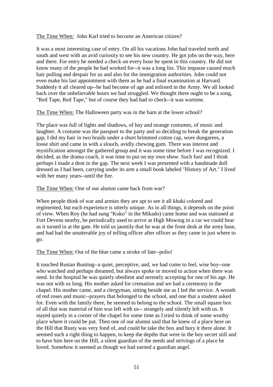The Time When: John Karl tried to become an American citizen?

It was a most interesting case of entry. On all his vacations John had traveled north and south and west with an avid curiosity to see his new country. He got jobs on the way, here and there. For entry he needed a check on every hour he spent in this country. He did not know many of the people he had worked for--it was a long list. This impasse caused much hair pulling and despair for us and also for the immigration authorities. John could not even make his last appointment with them as he had a final examination at Harvard. Suddenly it all cleared up--he had become of age and enlisted in the Army. We all looked back over the unbelievable hours we had struggled. We thought there ought to be a song, "Red Tape, Red Tape," but of course they had had to check--it was wartime.

The Time When: The Halloween party was in the barn at the lower school?

The place was full of lights and shadows, of hay and strange costumes, of music and laughter. A costume was the passport to the party and so deciding to break the generation gap, I did my hair in two braids under a short brimmed cotton cap, wore dungarees, a loose shirt and came in with a slouch, avidly chewing gum. There was interest and mystification amongst the gathered group and it was some time before I was recognized. I decided, as the drama coach, it was time to put on my own show. Such fun! and I think perhaps I made a dent in the gap. The next week I was presented with a handmade doll dressed as I had been, carrying under its arm a small book labeled "History of Art." I lived with her many years--until the fire.

The Time When: One of our alumni came back from war?

When people think of war and armies they are apt to see it all khaki colored and regimented, but each experience is utterly unique. As in all things, it depends on the point of view. When Roy (he had sung "Koko" in the Mikado) came home and was stationed at Fort Devens nearby, he periodically used to arrive at High Mowing in a car we could hear as it turned in at the gate. He told us jauntily that he was at the front desk at the army base, and had had the unutterable joy of telling officer after officer as they came in just where to go.

The Time When: Out of the blue came a stroke of fate--polio!

It touched Rustan Bunting--a quiet, perceptive, and, we had come to feel, wise boy--one who watched and perhaps dreamed, but always spoke or moved to action when there was need. In the hospital he was quietly obedient and serenely accepting for one of his age. He was not with us long. His mother asked for cremation and we had a ceremony in the chapel. His mother came, and a clergyman, sitting beside me as I led the service. A wreath of red roses and music--prayers that belonged to the school, and one that a student asked for. Even with the family there, he seemed to belong to the school. The small square box of all that was material of him was left with us-- strangely and silently left with us. It stayed quietly in a corner of the chapel for some time as I tried to think of some worthy place where it could be put. Then one of our alumni said that he knew of a place here on the Hill that Rusty was very fond of, and could he take the box and bury it there alone. It seemed such a right thing to happen, to keep the depths that were in the boy secret still and to have him here on the Hill, a silent guardian of the needs and strivings of a place he loved. Somehow it seemed as though we had earned a guardian angel.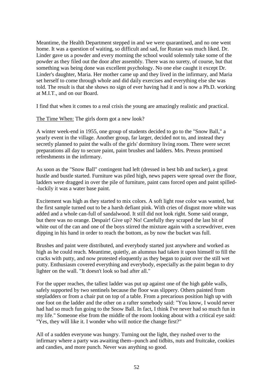Meantime, the Health Department stepped in and we were quarantined, and no one went home. It was a question of waiting, so difficult and sad, for Rustan was much liked. Dr. Linder gave us a powder and every morning the school would solemnly take some of the powder as they filed out the door after assembly. There was no surety, of course, but that something was being done was excellent psychology. No one else caught it except Dr. Linder's daughter, Maria. Her mother came up and they lived in the infirmary, and Maria set herself to come through whole and did daily exercises and everything else she was told. The result is that she shows no sign of ever having had it and is now a Ph.D. working at M.I.T., and on our Board.

I find that when it comes to a real crisis the young are amazingly realistic and practical.

The Time When: The girls dorm got a new look?

A winter week-end in 1955, one group of students decided to go to the "Snow Ball," a yearly event in the village. Another group, far larger, decided not to, and instead they secretly planned to paint the walls of the girls' dormitory living room. There were secret preparations all day to secure paint, paint brushes and ladders. Mrs. Preuss promised refreshments in the infirmary.

As soon as the "Snow Ball" contingent had left (dressed in best bib and tucker), a great hustle and bustle started. Furniture was piled high, news papers were spread over the floor, ladders were dragged in over the pile of furniture, paint cans forced open and paint spilled- -luckily it was a water base paint.

Excitement was high as they started to mix colors. A soft light rose color was wanted, but the first sample turned out to be a harsh defiant pink. With cries of disgust more white was added and a whole can-full of sandalwood. It still did not look right. Some said orange, but there was no orange. Despair! Give up? No! Carefully they scraped the last bit of white out of the can and one of the boys stirred the mixture again with a screwdriver, even dipping in his hand in order to reach the bottom, as by now the bucket was full.

Brushes and paint were distributed, and everybody started just anywhere and worked as high as he could reach. Meantime, quietly, an alumnus had taken it upon himself to fill the cracks with putty, and now protested eloquently as they began to paint over the still wet putty. Enthusiasm covered everything and everybody, especially as the paint began to dry lighter on the wall. "It doesn't look so bad after all."

For the upper reaches, the tallest ladder was put up against one of the high gable walls, safely supported by two sentinels because the floor was slippery. Others painted from stepladders or from a chair put on top of a table. From a precarious position high up with one foot on the ladder and the other on a rafter somebody said: "You know, I would never had had so much fun going to the Snow Ball. In fact, I think I've never had so much fun in my life." Someone else from the middle of the room looking about with a critical eye said: "Yes, they will like it. I wonder who will notice the change first?"

All of a sudden everyone was hungry. Turning out the light, they rushed over to the infirmary where a party was awaiting them--punch and tidbits, nuts and fruitcake, cookies and candies, and more punch. Never was anything so good.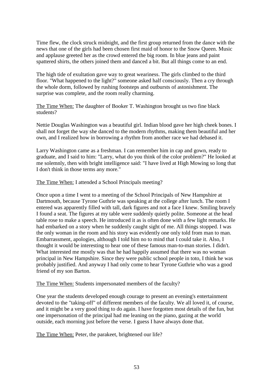Time flew, the clock struck midnight, and the first group returned from the dance with the news that one of the girls had been chosen first maid of honor to the Snow Queen. Music and applause greeted her as the crowd entered the big room. In blue jeans and paint spattered shirts, the others joined them and danced a bit. But all things come to an end.

The high tide of exultation gave way to great weariness. The girls climbed to the third floor. "What happened to the light?" someone asked half consciously. Then a cry through the whole dorm, followed by rushing footsteps and outbursts of astonishment. The surprise was complete, and the room really charming.

The Time When: The daughter of Booker T. Washington brought us two fine black students?

Nettie Douglas Washington was a beautiful girl. Indian blood gave her high cheek bones. I shall not forget the way she danced to the modern rhythms, making them beautiful and her own, and I realized how in borrowing a rhythm from another race we had debased it.

Larry Washington came as a freshman. I can remember him in cap and gown, ready to graduate, and I said to him: "Larry, what do you think of the color problem?" He looked at me solemnly, then with bright intelligence said: "I have lived at High Mowing so long that I don't think in those terms any more."

The Time When: I attended a School Principals meeting?

Once upon a time I went to a meeting of the School Principals of New Hampshire at Dartmouth, because Tyrone Guthrie was speaking at the college after lunch. The room I entered was apparently filled with tall, dark figures and not a face I knew. Smiling bravely I found a seat. The figures at my table were suddenly quietly polite. Someone at the head table rose to make a speech. He introduced it as is often done with a few light remarks. He had embarked on a story when he suddenly caught sight of me. All things stopped. I was the only woman in the room and his story was evidently one only told from man to man. Embarrassment, apologies, although I told him no to mind that I could take it. Also, I thought it would be interesting to hear one of these famous man-to-man stories. I didn't. What interested me mostly was that he had happily assumed that there was no woman principal in New Hampshire. Since they were public school people in toto, I think he was probably justified. And anyway I had only come to hear Tyrone Guthrie who was a good friend of my son Barton.

The Time When: Students impersonated members of the faculty?

One year the students developed enough courage to present an evening's entertainment devoted to the "taking-off" of different members of the faculty. We all loved it, of course, and it might be a very good thing to do again. I have forgotten most details of the fun, but one impersonation of the principal had me leaning on the piano, gazing at the world outside, each morning just before the verse. I guess I have always done that.

The Time When: Peter, the parakeet, brightened our life?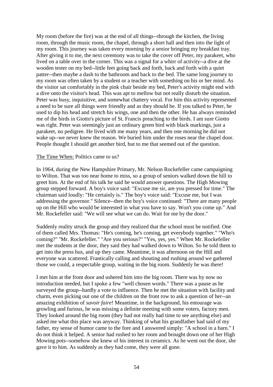My room (before the fire) was at the end of all things--through the kitchen, the living room, through the music room, the chapel, through a short hall and then into the light of my room. This journey was taken every morning by a senior bringing my breakfast tray. After giving it to me, the next ceremony was to take the cover off Peter, my parakeet, who lived on a table over in the corner. This was a signal for a whirr of activity--a dive at the wooden tester on my bed--little feet going back and forth, back and forth with a quiet patter--then maybe a dash to the bathroom and back to the bed. The same long journey to my room was often taken by a student or a teacher with something on his or her mind. As the visitor sat comfortably in the pink chair beside my bed, Peter's activity might end with a dive onto the visitor's head. This was apt to mellow but not really disturb the situation. Peter was busy, inquisitive, and somewhat chattery vocal. For him this activity represented a need to be sure all things were friendly and as they should be. If you talked to Peter, he used to dip his head and stretch his wings, one and then the other. He has always reminded me of the birds in Giotto's picture of St. Francis preaching to the birds. I am sure Giotto was right. Peter was seemingly just an ordinary green bird with black markings, just a parakeet, no pedigree. He lived with me many years, and then one morning he did not wake up--we never knew the reason. We buried him under the roses near the chapel door. People thought I should get another bird, but to me that seemed out of the question.

# The Time When: Politics came to us?

In 1964, during the New Hampshire Primary, Mr. Nelson Rockefeller came campaigning to Wilton. That was too near home to miss, so a group of seniors walked down the hill to greet him. At the end of his talk he said he would answer questions. The High Mowing group stepped forward. A boy's voice said: "Excuse me sir, are you pressed for time." The chairman said loudly: "He certainly is." The boy's voice said: "Excuse me, but I was addressing the governor." Silence--then the boy's voice continued: "There are many people up on the Hill who would be interested in what you have to say. Won't you come up." And Mr. Rockefeller said: "We will see what we can do. Wait for me by the door."

Suddenly reality struck the group and they realized that the school must be notified. One of them called Mrs. Thomas: "He's coming, he's coming, get everybody together." "Who's coming?" ''Mr. Rockefeller." "Are you serious?" "Yes, yes, yes." When Mr. Rockefeller met the students at the door, they said they had walked down to Wilton. So he told them to get into the press bus, and up they came. Meantime, it was afternoon on the Hill and everyone was scattered. Frantically calling and shouting and rushing around we gathered those we could, a respectable group, waiting in the big room. Suddenly he was there!

I met him at the front door and ushered him into the big room. There was by now no introduction needed, but I spoke a few "well chosen words." There was a pause as he surveyed the group--hardly a vote to influence. Then he met the situation with facility and charm, even picking out one of the children on the front row to ask a question of her--an amazing exhibition of *savoir faire*! Meantime, in the background, his entourage was growling and furious, he was missing a definite meeting with some voters, factory men. They looked around the big room (they had not really had time to see anything else) and asked me what this place was anyway. Thinking of what his grandfather had said of my father, my sense of humor came to the fore and I answered simply: "A school in a barn." I do not think it helped. A senior had rushed to her room and brought down one of her High Mowing pots--somehow she knew of his interest in ceramics. As he went out the door, she gave it to him. As suddenly as they had come, they were all gone.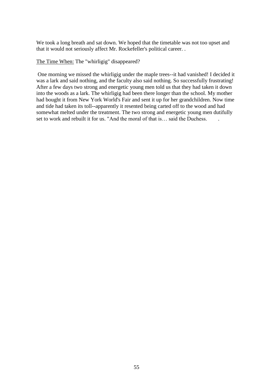We took a long breath and sat down. We hoped that the timetable was not too upset and that it would not seriously affect Mr. Rockefeller's political career. .

The Time When: The "whirligig" disappeared?

One morning we missed the whirligig under the maple trees--it had vanished! I decided it was a lark and said nothing, and the faculty also said nothing. So successfully frustrating! After a few days two strong and energetic young men told us that they had taken it down into the woods as a lark. The whirligig had been there longer than the school. My mother had bought it from New York World's Fair and sent it up for her grandchildren. Now time and tide had taken its toll--apparently it resented being carted off to the wood and had somewhat melted under the treatment. The two strong and energetic young men dutifully set to work and rebuilt it for us. "And the moral of that is... said the Duchess.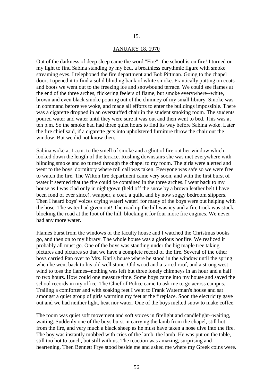#### 15.

#### JANUARY 18, 1970

Out of the darkness of deep sleep came the word "Fire"--the school is on fire! I turned on my light to find Sabina standing by my bed, a breathless eurythmic figure with smoke streaming eyes. I telephoned the fire department and Bob Pittman. Going to the chapel door, I opened it to find a solid blinding bank of white smoke. Frantically putting on coats and boots we went out to the freezing ice and snowbound terrace. We could see flames at the end of the three arches, flickering feelers of flame, but smoke everywhere--white, brown and even black smoke pouring out of the chimney of my small library. Smoke was in command before we woke, and made all efforts to enter the buildings impossible. There was a cigarette dropped in an overstuffed chair in the student smoking room. The students poured water and water until they were sure it was out and then went to bed. This was at ten p.m. So the smoke had had three quiet hours to find its way before Sabina woke. Later the fire chief said, if a cigarette gets into upholstered furniture throw the chair out the window. But we did not know then.

Sabina woke at 1 a.m. to the smell of smoke and a glint of fire out her window which looked down the length of the terrace. Rushing downstairs she was met everywhere with blinding smoke and so turned through the chapel to my room. The girls were alerted and went to the boys' dormitory where roll call was taken. Everyone was safe so we were free to watch the fire. The Wilton fire department came very soon, and with the first burst of water it seemed that the fire could be contained in the three arches. I went back to my house as I was clad only in nightgown (held off the snow by a brown leather belt I have been fond of ever since), wrapper, a coat, a quilt, and by now soggy bedroom slippers. Then I heard boys' voices crying water! water! for many of the boys were out helping with the hose. The water had given out! The road up the hill was icy and a fire truck was stuck, blocking the road at the foot of the hill, blocking it for four more fire engines. We never had any more water.

Flames burst from the windows of the faculty house and I watched the Christmas books go, and then on to my library. The whole house was a glorious bonfire. We realized it probably all must go. One of the boys was standing under the big maple tree taking pictures and pictures so that we have a complete record of the fire. Several of the other boys carried Pan over to Mrs. Karl's house where he stood in the window until the spring when he went back to his old well stone. Old wood and a tarred roof, and a strong west wind to toss the flames--nothing was left but three lonely chimneys in an hour and a half to two hours. How could one measure time. Some boys came into my house and saved the school records in my office. The Chief of Police came to ask me to go across campus. Trailing a comforter and with soaking feet I went to Frank Waterman's house and sat amongst a quiet group of girls warming my feet at the fireplace. Soon the electricity gave out and we had neither light, heat nor water. One of the boys melted snow to make coffee.

The room was quiet soft movement and soft voices in firelight and candlelight--waiting, waiting. Suddenly one of the boys burst in carrying the lamb from the chapel, still hot from the fire, and very much a black sheep as he must have taken a nose dive into the fire. The boy was instantly mobbed with cries of the lamb, the lamb. He was put on the table, still too hot to touch, but still with us. The reaction was amazing, surprising and heartening. Then Bennett Frye stood beside me and asked me where my Greek coins were.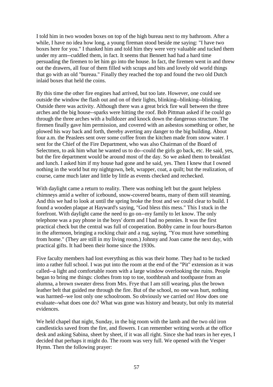I told him in two wooden boxes on top of the high bureau next to my bathroom. After a while, I have no idea how long, a young fireman stood beside me saying: "I have two boxes here for you." I thanked him and told him they were very valuable and tucked them under my arm--cuddled them, in fact. It seems that Bennett had had a hard time persuading the firemen to let him go into the house. In fact, the firemen went in and threw out the drawers, all four of them filled with scraps and bits and lovely old world things that go with an old "bureau." Finally they reached the top and found the two old Dutch inlaid boxes that held the coins.

By this time the other fire engines had arrived, but too late. However, one could see outside the window the flash out and on of their lights, blinking--blinking--blinking. Outside there was activity. Although there was a great brick fire wall between the three arches and the big house--sparks were hitting the roof. Bob Pittman asked if he could go through the three arches with a bulldozer and knock down the dangerous structure. The firemen finally gave him permission, and covered with an asbestos something or other, he plowed his way back and forth, thereby averting any danger to the big building. About four a.m. the Peaslees sent over some coffee from the kitchen made from snow water. I sent for the Chief of the Fire Department, who was also Chairman of the Board of Selectmen, to ask him what he wanted us to do--could the girls go back, etc. He said, yes, but the fire department would be around most of the day. So we asked them to breakfast and lunch. I asked him if my house had gone and he said, yes. Then I knew that I owned nothing in the world but my nightgown, belt, wrapper, coat, a quilt; but the realization, of course, came much later and little by little as events checked and rechecked.

With daylight came a return to reality. There was nothing left but the gaunt helpless chimneys amid a welter of icebound, snow-covered beams, many of them still steaming. And this we had to look at until the spring broke the frost and we could clear to build. I found a wooden plaque at Hayward's saying, "God bless this mess." This I stuck in the forefront. With daylight came the need to go on--my family to let know. The only telephone was a pay phone in the boys' dorm and I had no pennies. It was the first practical check but the central was full of cooperation. Bobby came in four hours-Barton in the afternoon, bringing a rocking chair and a rug, saying, "You must have something from home." (They are still in my living room.) Johnny and Joan came the next day, with practical gifts. It had been their home since the 1930s.

Five faculty members had lost everything as this was their home. They had to be tucked into a rather full school. I was put into the room at the end of the "Pit" extension as it was called--a light and comfortable room with a large window overlooking the ruins. People began to bring me things: clothes from top to toe, toothbrush and toothpaste from an alumna, a brown sweater dress from Mrs. Frye that I am still wearing, plus the brown leather belt that guided me through the fire. But of the school, no one was hurt, nothing was harmed--we lost only one schoolroom. So obviously we carried on! How does one evaluate--what does one do? What was gone was history and beauty, but only its material evidences.

We held chapel that night, Sunday, in the big room with the lamb and the two old iron candlesticks saved from the fire, and flowers. I can remember writing words at the office desk and asking Sabina, sheet by sheet, if it was all right. Since she had tears in her eyes, I decided that perhaps it might do. The room was very full. We opened with the Vesper Hymn. Then the following prayer: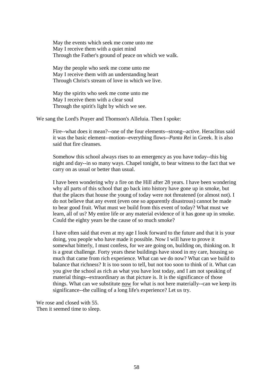May the events which seek me come unto me May I receive them with a quiet mind Through the Father's ground of peace on which we walk.

May the people who seek me come unto me May I receive them with an understanding heart Through Christ's stream of love in which we live.

May the spirits who seek me come unto me May I receive them with a clear soul Through the spirit's light by which we see.

We sang the Lord's Prayer and Thomson's Alleluia. Then I spoke:

Fire--what does it mean?--one of the four elements--strong--active. Heraclitus said it was the basic element--motion--everything flows--*Panta Rei* in Greek. It is also said that fire cleanses.

Somehow this school always rises to an emergency as you have today--this big night and day--in so many ways. Chapel tonight, to bear witness to the fact that we carry on as usual or better than usual.

I have been wondering why a fire on the Hill after 28 years. I have been wondering why all parts of this school that go back into history have gone up in smoke, but that the places that house the young of today were not threatened (or almost not). I do not believe that any event (even one so apparently disastrous) cannot be made to bear good fruit. What must we build from this event of today? What must we learn, all of us? My entire life or any material evidence of it has gone up in smoke. Could the eighty years be the cause of so much smoke?

I have often said that even at my age I look forward to the future and that it is your doing, you people who have made it possible. Now I will have to prove it somewhat bitterly, I must confess, for we are going on, building on, thinking on. It is a great challenge. Forty years these buildings have stood in my care, housing so much that came from rich experience. What can we do now? What can we build to balance that richness? It is too soon to tell, but not too soon to think of it. What can you give the school as rich as what you have lost today, and I am not speaking of material things--extraordinary as that picture is. It is the significance of those things. What can we substitute now for what is not here materially--can we keep its significance--the culling of a long life's experience? Let us try.

We rose and closed with 55. Then it seemed time to sleep.